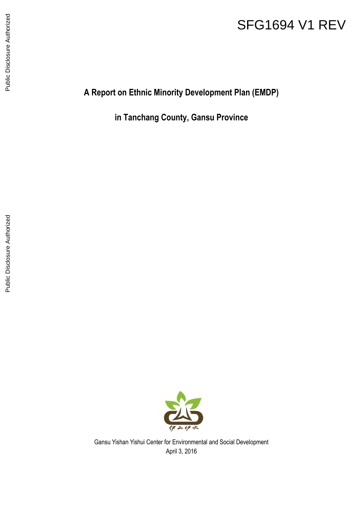# SFG1694 V1 REV

**A Report on Ethnic Minority Development Plan (EMDP)**

**in Tanchang County, Gansu Province**



Gansu Yishan Yishui Center for Environmental and Social Development April 3, 2016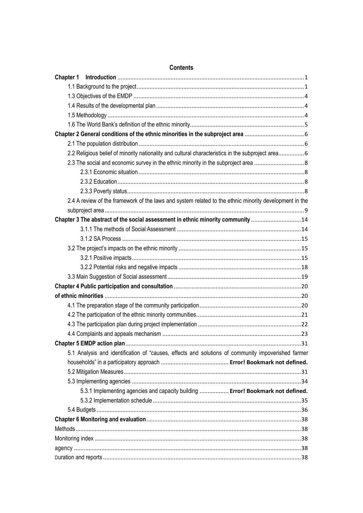| 2.2 Religious belief of minority nationality and cultural characteristics in the subproject area6      |
|--------------------------------------------------------------------------------------------------------|
|                                                                                                        |
|                                                                                                        |
|                                                                                                        |
|                                                                                                        |
| 2.4 A review of the framework of the laws and system related to the ethnic minority development in the |
|                                                                                                        |
| Chapter 3 The abstract of the social assessment in ethnic minority community 14                        |
|                                                                                                        |
|                                                                                                        |
|                                                                                                        |
|                                                                                                        |
|                                                                                                        |
|                                                                                                        |
|                                                                                                        |
|                                                                                                        |
|                                                                                                        |
|                                                                                                        |
|                                                                                                        |
|                                                                                                        |
|                                                                                                        |
| 5.1 Analysis and identification of "causes, effects and solutions of community impoverished farmer     |
|                                                                                                        |
|                                                                                                        |
|                                                                                                        |
| 5.3.1 Implementing agencies and capacity building  Error! Bookmark not defined.                        |
|                                                                                                        |
|                                                                                                        |
|                                                                                                        |
|                                                                                                        |
|                                                                                                        |
|                                                                                                        |
|                                                                                                        |

#### **Contents**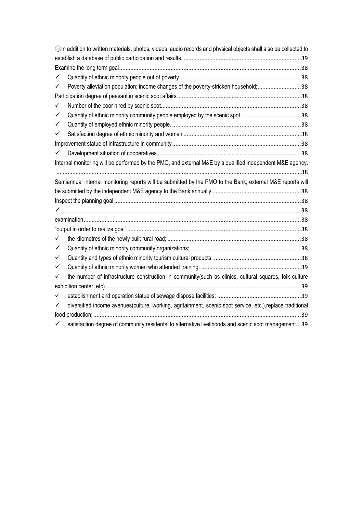|              | ©In addition to written materials, photos, videos, audio records and physical objects shall also be collected to |
|--------------|------------------------------------------------------------------------------------------------------------------|
|              |                                                                                                                  |
|              |                                                                                                                  |
| ✓            |                                                                                                                  |
| ✓            | Poverty alleviation population; income changes of the poverty-stricken household;38                              |
|              |                                                                                                                  |
| ✓            |                                                                                                                  |
| ✓            |                                                                                                                  |
| ✓            |                                                                                                                  |
| $\checkmark$ |                                                                                                                  |
|              |                                                                                                                  |
| ✓            |                                                                                                                  |
|              | Internal monitoring will be performed by the PMO, and external M&E by a qualified independent M&E agency.        |
|              |                                                                                                                  |
|              | Semiannual internal monitoring reports will be submitted by the PMO to the Bank; external M&E reports will       |
|              |                                                                                                                  |
|              |                                                                                                                  |
|              |                                                                                                                  |
|              |                                                                                                                  |
|              |                                                                                                                  |
| ✓            |                                                                                                                  |
| ✓            |                                                                                                                  |
| ✓            |                                                                                                                  |
| ✓            |                                                                                                                  |
| ✓            | the number of infrastructure construction in community(such as clinics, cultural squares, folk culture           |
|              |                                                                                                                  |
| ✓            |                                                                                                                  |
| $\checkmark$ | diversified income avenues(culture, working, agritainment, scenic spot service, etc.),replace traditional        |
|              |                                                                                                                  |
|              | satisfaction degree of community residents' to alternative livelihoods and scenic spot management39              |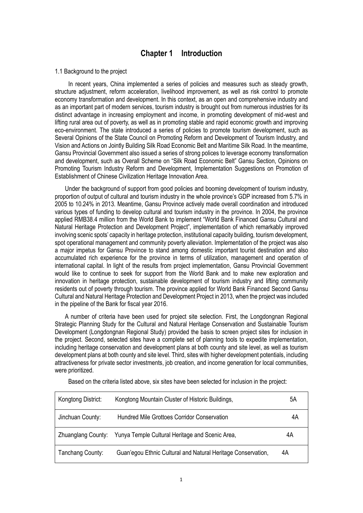## **Chapter 1 Introduction**

#### <span id="page-3-1"></span><span id="page-3-0"></span>1.1 Background to the project

 In recent years, China implemented a series of policies and measures such as steady growth, structure adjustment, reform acceleration, livelihood improvement, as well as risk control to promote economy transformation and development. In this context, as an open and comprehensive industry and as an important part of modern services, tourism industry is brought out from numerous industries for its distinct advantage in increasing employment and income, in promoting development of mid-west and lifting rural area out of poverty, as well as in promoting stable and rapid economic growth and improving eco-environment. The state introduced a series of policies to promote tourism development, such as Several Opinions of the State Council on Promoting Reform and Development of Tourism Industry, and Vision and Actions on Jointly Building Silk Road Economic Belt and Maritime Silk Road. In the meantime, Gansu Provincial Government also issued a series of strong polices to leverage economy transformation and development, such as Overall Scheme on "Silk Road Economic Belt" Gansu Section, Opinions on Promoting Tourism Industry Reform and Development, Implementation Suggestions on Promotion of Establishment of Chinese Civilization Heritage Innovation Area.

 Under the background of support from good policies and booming development of tourism industry, proportion of output of cultural and tourism industry in the whole province's GDP increased from 5.7% in 2005 to 10.24% in 2013. Meantime, Gansu Province actively made overall coordination and introduced various types of funding to develop cultural and tourism industry in the province. In 2004, the province applied RMB38.4 million from the World Bank to implement "World Bank Financed Gansu Cultural and Natural Heritage Protection and Development Project", implementation of which remarkably improved involving scenic spots' capacity in heritage protection, institutional capacity building, tourism development, spot operational management and community poverty alleviation. Implementation of the project was also a major impetus for Gansu Province to stand among domestic important tourist destination and also accumulated rich experience for the province in terms of utilization, management and operation of international capital. In light of the results from project implementation, Gansu Provincial Government would like to continue to seek for support from the World Bank and to make new exploration and innovation in heritage protection, sustainable development of tourism industry and lifting community residents out of poverty through tourism. The province applied for World Bank Financed Second Gansu Cultural and Natural Heritage Protection and Development Project in 2013, when the project was included in the pipeline of the Bank for fiscal year 2016.

 A number of criteria have been used for project site selection. First, the Longdongnan Regional Strategic Planning Study for the Cultural and Natural Heritage Conservation and Sustainable Tourism Development (Longdongnan Regional Study) provided the basis to screen project sites for inclusion in the project. Second, selected sites have a complete set of planning tools to expedite implementation, including heritage conservation and development plans at both county and site level, as well as tourism development plans at both county and site level. Third, sites with higher development potentials, including attractiveness for private sector investments, job creation, and income generation for local communities, were prioritized.

| Kongtong District:        | Kongtong Mountain Cluster of Historic Buildings,             | 5Α |
|---------------------------|--------------------------------------------------------------|----|
| Jinchuan County:          | Hundred Mile Grottoes Corridor Conservation                  | 4Α |
| <b>Zhuanglang County:</b> | Yunya Temple Cultural Heritage and Scenic Area,              | 4Α |
| Tanchang County:          | Guan'egou Ethnic Cultural and Natural Heritage Conservation, | 4Α |

Based on the criteria listed above, six sites have been selected for inclusion in the project: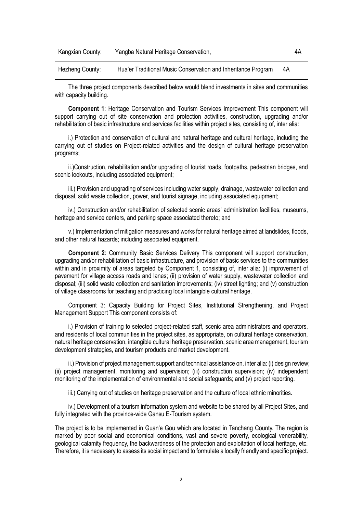| Kangxian County: | Yangba Natural Heritage Conservation,                         |    | 4Α |
|------------------|---------------------------------------------------------------|----|----|
| Hezheng County:  | Hua'er Traditional Music Conservation and Inheritance Program | 4A |    |

The three project components described below would blend investments in sites and communities with capacity building.

**Component 1**: Heritage Conservation and Tourism Services Improvement This component will support carrying out of site conservation and protection activities, construction, upgrading and/or rehabilitation of basic infrastructure and services facilities within project sites, consisting of, inter alia:

i.) Protection and conservation of cultural and natural heritage and cultural heritage, including the carrying out of studies on Project-related activities and the design of cultural heritage preservation programs;

ii.)Construction, rehabilitation and/or upgrading of tourist roads, footpaths, pedestrian bridges, and scenic lookouts, including associated equipment;

iii.) Provision and upgrading of services including water supply, drainage, wastewater collection and disposal, solid waste collection, power, and tourist signage, including associated equipment;

iv.) Construction and/or rehabilitation of selected scenic areas' administration facilities, museums, heritage and service centers, and parking space associated thereto; and

v.) Implementation of mitigation measures and works for natural heritage aimed at landslides, floods, and other natural hazards; including associated equipment.

**Component 2**: Community Basic Services Delivery This component will support construction, upgrading and/or rehabilitation of basic infrastructure, and provision of basic services to the communities within and in proximity of areas targeted by Component 1, consisting of, inter alia: (i) improvement of pavement for village access roads and lanes; (ii) provision of water supply, wastewater collection and disposal; (iii) solid waste collection and sanitation improvements; (iv) street lighting; and (v) construction of village classrooms for teaching and practicing local intangible cultural heritage.

Component 3: Capacity Building for Project Sites, Institutional Strengthening, and Project Management Support This component consists of:

i.) Provision of training to selected project-related staff, scenic area administrators and operators, and residents of local communities in the project sites, as appropriate, on cultural heritage conservation, natural heritage conservation, intangible cultural heritage preservation, scenic area management, tourism development strategies, and tourism products and market development.

ii.) Provision of project management support and technical assistance on, inter alia: (i) design review; (ii) project management, monitoring and supervision; (iii) construction supervision; (iv) independent monitoring of the implementation of environmental and social safeguards; and (v) project reporting.

iii.) Carrying out of studies on heritage preservation and the culture of local ethnic minorities.

iv.) Development of a tourism information system and website to be shared by all Project Sites, and fully integrated with the province-wide Gansu E-Tourism system.

The project is to be implemented in Guan'e Gou which are located in Tanchang County. The region is marked by poor social and economical conditions, vast and severe poverty, ecological venerability, geological calamity frequency, the backwardness of the protection and exploitation of local heritage, etc. Therefore, it is necessary to assess its social impact and to formulate a locally friendly and specific project.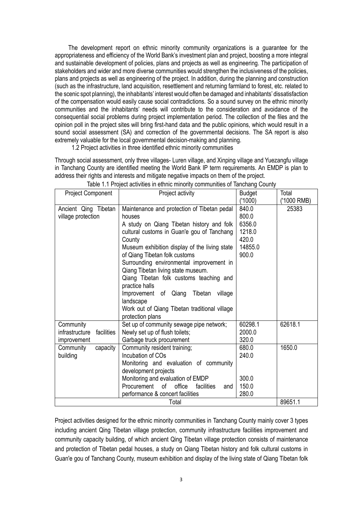The development report on ethnic minority community organizations is a guarantee for the appropriateness and efficiency of the World Bank's investment plan and project, boosting a more integral and sustainable development of policies, plans and projects as well as engineering. The participation of stakeholders and wider and more diverse communities would strengthen the inclusiveness of the policies, plans and projects as well as engineering of the project. In addition, during the planning and construction (such as the infrastructure, land acquisition, resettlement and returning farmland to forest, etc. related to the scenic spot planning), the inhabitants' interest would often be damaged and inhabitants' dissatisfaction of the compensation would easily cause social contradictions. So a sound survey on the ethnic minority communities and the inhabitants' needs will contribute to the consideration and avoidance of the consequential social problems during project implementation period. The collection of the files and the opinion poll in the project sites will bring first-hand data and the public opinions, which would result in a sound social assessment (SA) and correction of the governmental decisions. The SA report is also extremely valuable for the local governmental decision-making and planning.

1.2 Project activities in three identified ethnic minority communities

Through social assessment, only three villages- Luren village, and Xinping village and Yuezangfu village in Tanchang County are identified meeting the World Bank IP term requirements. An EMDP is plan to address their rights and interests and mitigate negative impacts on them of the project.

| Project Component                                        | Project activity                                                                                                                                                                                                                                                                                                                                                                                                                                                                                                            | <b>Budget</b><br>('1000)                                        | Total<br>('1000 RMB) |
|----------------------------------------------------------|-----------------------------------------------------------------------------------------------------------------------------------------------------------------------------------------------------------------------------------------------------------------------------------------------------------------------------------------------------------------------------------------------------------------------------------------------------------------------------------------------------------------------------|-----------------------------------------------------------------|----------------------|
| Ancient Qing Tibetan<br>village protection               | Maintenance and protection of Tibetan pedal<br>houses<br>A study on Qiang Tibetan history and folk<br>cultural customs in Guan'e gou of Tanchang<br>County<br>Museum exhibition display of the living state<br>of Qiang Tibetan folk customs<br>Surrounding environmental improvement in<br>Qiang Tibetan living state museum.<br>Qiang Tibetan folk customs teaching and<br>practice halls<br>Improvement of Qiang<br>Tibetan<br>village<br>landscape<br>Work out of Qiang Tibetan traditional village<br>protection plans | 840.0<br>800.0<br>6356.0<br>1218.0<br>420.0<br>14855.0<br>900.0 | 25383                |
| Community<br>infrastructure<br>facilities<br>improvement | Set up of community sewage pipe network;<br>Newly set up of flush toilets;<br>Garbage truck procurement                                                                                                                                                                                                                                                                                                                                                                                                                     | 60298.1<br>2000.0<br>320.0                                      | 62618.1              |
| capacity<br>Community<br>building                        | Community resident training;<br>Incubation of COs<br>Monitoring and evaluation of community<br>development projects<br>Monitoring and evaluation of EMDP<br>οf<br>office<br>Procurement<br>facilities<br>and<br>performance & concert facilities                                                                                                                                                                                                                                                                            | 680.0<br>240.0<br>300.0<br>150.0<br>280.0                       | 1650.0               |
|                                                          | Total                                                                                                                                                                                                                                                                                                                                                                                                                                                                                                                       |                                                                 | 89651.1              |

Table 1.1 Project activities in ethnic minority communities of Tanchang County

Project activities designed for the ethnic minority communities in Tanchang County mainly cover 3 types including ancient Qing Tibetan village protection, community infrastructure facilities improvement and community capacity building, of which ancient Qing Tibetan village protection consists of maintenance and protection of Tibetan pedal houses, a study on Qiang Tibetan history and folk cultural customs in Guan'e gou of Tanchang County, museum exhibition and display of the living state of Qiang Tibetan folk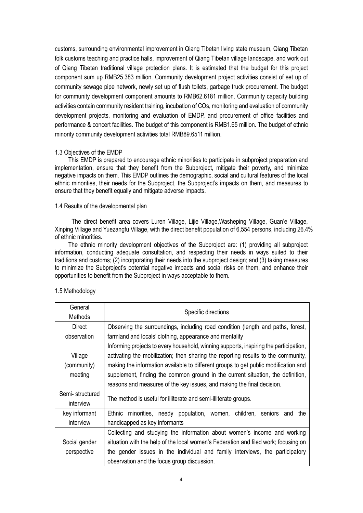customs, surrounding environmental improvement in Qiang Tibetan living state museum, Qiang Tibetan folk customs teaching and practice halls, improvement of Qiang Tibetan village landscape, and work out of Qiang Tibetan traditional village protection plans. It is estimated that the budget for this project component sum up RMB25.383 million. Community development project activities consist of set up of community sewage pipe network, newly set up of flush toilets, garbage truck procurement. The budget for community development component amounts to RMB62.6181 million. Community capacity building activities contain community resident training, incubation of COs, monitoring and evaluation of community development projects, monitoring and evaluation of EMDP, and procurement of office facilities and performance & concert facilities. The budget of this component is RMB1.65 million. The budget of ethnic minority community development activities total RMB89.6511 million.

#### <span id="page-6-0"></span>1.3 Objectives of the EMDP

This EMDP is prepared to encourage ethnic minorities to participate in subproject preparation and implementation, ensure that they benefit from the Subproject, mitigate their poverty, and minimize negative impacts on them. This EMDP outlines the demographic, social and cultural features of the local ethnic minorities, their needs for the Subproject, the Subproject's impacts on them, and measures to ensure that they benefit equally and mitigate adverse impacts.

#### <span id="page-6-1"></span>1.4 Results of the developmental plan

The direct benefit area covers Luren Village, Lijie Village,Washeping Village, Guan'e Village, Xinping Village and Yuezangfu Village, with the direct benefit population of 6,554 persons, including 26.4% of ethnic minorities.

The ethnic minority development objectives of the Subproject are: (1) providing all subproject information, conducting adequate consultation, and respecting their needs in ways suited to their traditions and customs; (2) incorporating their needs into the subproject design; and (3) taking measures to minimize the Subproject's potential negative impacts and social risks on them, and enhance their opportunities to benefit from the Subproject in ways acceptable to them.

| General                           | Specific directions                                                                                                                                                                                                                                                                                                                                                                                                            |  |  |  |
|-----------------------------------|--------------------------------------------------------------------------------------------------------------------------------------------------------------------------------------------------------------------------------------------------------------------------------------------------------------------------------------------------------------------------------------------------------------------------------|--|--|--|
| Methods                           |                                                                                                                                                                                                                                                                                                                                                                                                                                |  |  |  |
| Direct                            | Observing the surroundings, including road condition (length and paths, forest,                                                                                                                                                                                                                                                                                                                                                |  |  |  |
| observation                       | farmland and locals' clothing, appearance and mentality                                                                                                                                                                                                                                                                                                                                                                        |  |  |  |
| Village<br>(community)<br>meeting | Informing projects to every household, winning supports, inspiring the participation,<br>activating the mobilization; then sharing the reporting results to the community,<br>making the information available to different groups to get public modification and<br>supplement, finding the common ground in the current situation, the definition,<br>reasons and measures of the key issues, and making the final decision. |  |  |  |
| Semi-structured<br>interview      | The method is useful for illiterate and semi-illiterate groups.                                                                                                                                                                                                                                                                                                                                                                |  |  |  |
| key informant                     | Ethnic minorities, needy population, women, children, seniors and<br>the                                                                                                                                                                                                                                                                                                                                                       |  |  |  |
| interview                         | handicapped as key informants                                                                                                                                                                                                                                                                                                                                                                                                  |  |  |  |
|                                   | Collecting and studying the information about women's income and working                                                                                                                                                                                                                                                                                                                                                       |  |  |  |
| Social gender                     | situation with the help of the local women's Federation and filed work; focusing on                                                                                                                                                                                                                                                                                                                                            |  |  |  |
| perspective                       | the gender issues in the individual and family interviews, the participatory                                                                                                                                                                                                                                                                                                                                                   |  |  |  |
|                                   | observation and the focus group discussion.                                                                                                                                                                                                                                                                                                                                                                                    |  |  |  |

#### <span id="page-6-2"></span>1.5 Methodology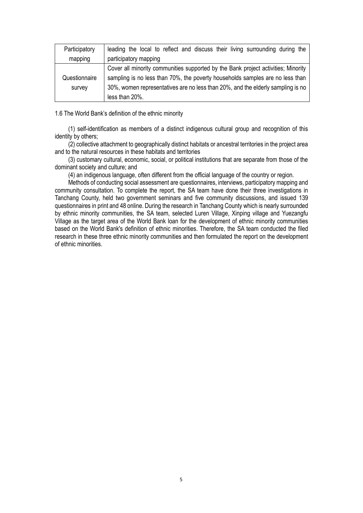| Participatory                                                                                  | leading the local to reflect and discuss their living surrounding during the      |  |  |
|------------------------------------------------------------------------------------------------|-----------------------------------------------------------------------------------|--|--|
| mapping                                                                                        | participatory mapping                                                             |  |  |
|                                                                                                | Cover all minority communities supported by the Bank project activities; Minority |  |  |
| sampling is no less than 70%, the poverty households samples are no less than<br>Questionnaire |                                                                                   |  |  |
| survey                                                                                         | 30%, women representatives are no less than 20%, and the elderly sampling is no   |  |  |
|                                                                                                | less than 20%.                                                                    |  |  |

<span id="page-7-0"></span>1.6 The World Bank's definition of the ethnic minority

(1) self-identification as members of a distinct indigenous cultural group and recognition of this identity by others;

(2) collective attachment to geographically distinct habitats or ancestral territories in the project area and to the natural resources in these habitats and territories

(3) customary cultural, economic, social, or political institutions that are separate from those of the dominant society and culture; and

(4) an indigenous language, often different from the official language of the country or region.

Methods of conducting social assessment are questionnaires, interviews, participatory mapping and community consultation. To complete the report, the SA team have done their three investigations in Tanchang County, held two government seminars and five community discussions, and issued 139 questionnaires in print and 48 online. During the research in Tanchang County which is nearly surrounded by ethnic minority communities, the SA team, selected Luren Village, Xinping village and Yuezangfu Village as the target area of the World Bank loan for the development of ethnic minority communities based on the World Bank's definition of ethnic minorities. Therefore, the SA team conducted the filed research in these three ethnic minority communities and then formulated the report on the development of ethnic minorities.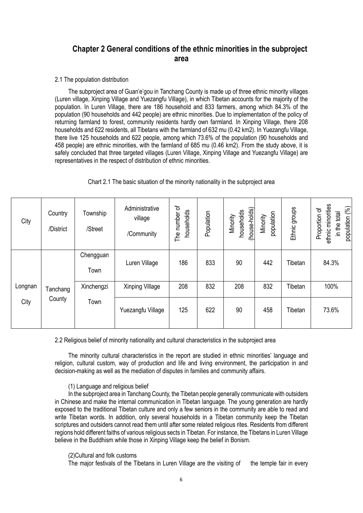## <span id="page-8-0"></span>**Chapter 2 General conditions of the ethnic minorities in the subproject area**

#### <span id="page-8-1"></span>2.1 The population distribution

The subproject area of Guan'e'gou in Tanchang County is made up of three ethnic minority villages (Luren village, Xinping Village and Yuezangfu Village), in which Tibetan accounts for the majority of the population. In Luren Village, there are 186 household and 833 farmers, among which 84.3% of the population (90 households and 442 people) are ethnic minorities. Due to implementation of the policy of returning farmland to forest, community residents hardly own farmland. In Xinping Village, there 208 households and 622 residents, all Tibetans with the farmland of 632 mu (0.42 km2). In Yuezangfu Village, there live 125 households and 622 people, among which 73.6% of the population (90 households and 458 people) are ethnic minorities, with the farmland of 685 mu (0.46 km2). From the study above, it is safely concluded that three targeted villages (Luren Village, Xinping Village and Yuezangfu Village) are representatives in the respect of distribution of ethnic minorities.

#### Chart 2.1 The basic situation of the minority nationality in the subproject area

| City    | Country<br>/District | Township<br>/Street | Administrative<br>village<br>/Community | The number of<br>households | Population | (house-holds)<br>households<br>Minority | population<br>Minority | Ethnic groups | sthnic minorities<br>population (%)<br>Proportion of<br>in the total |
|---------|----------------------|---------------------|-----------------------------------------|-----------------------------|------------|-----------------------------------------|------------------------|---------------|----------------------------------------------------------------------|
| Longnan | Tanchang             | Chengguan<br>Town   | Luren Village                           | 186                         | 833        | 90                                      | 442                    | Tibetan       | 84.3%                                                                |
|         |                      |                     | Xinchengzi                              | Xinping Village             | 208        | 832                                     | 208                    | 832           | Tibetan                                                              |
| City    | County               | Town                | Yuezangfu Village                       | 125                         | 622        | 90                                      | 458                    | Tibetan       | 73.6%                                                                |

<span id="page-8-2"></span>2.2 Religious belief of minority nationality and cultural characteristics in the subproject area

The minority cultural characteristics in the report are studied in ethnic minorities' language and religion, cultural custom, way of production and life and living environment, the participation in and decision-making as well as the mediation of disputes in families and community affairs.

#### (1) Language and religious belief

In the subproject area in Tanchang County, the Tibetan people generally communicate with outsiders in Chinese and make the internal communication in Tibetan language. The young generation are hardly exposed to the traditional Tibetan culture and only a few seniors in the community are able to read and write Tibetan words. In addition, only several households in a Tibetan community keep the Tibetan scriptures and outsiders cannot read them until after some related religious rites. Residents from different regions hold different faiths of various religious sects in Tibetan. For instance, the Tibetans in Luren Village believe in the Buddhism while those in Xinping Village keep the belief in Bonism.

(2)Cultural and folk customs

The major festivals of the Tibetans in Luren Village are the visiting of the temple fair in every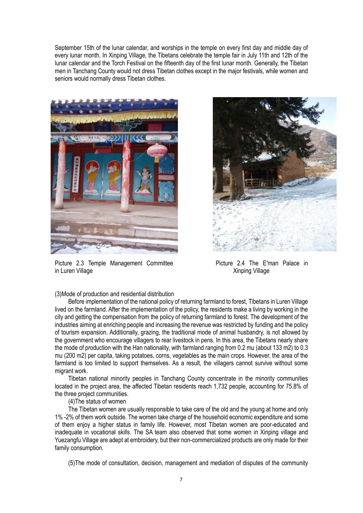September 15th of the lunar calendar, and worships in the temple on every first day and middle day of every lunar month. In Xinping Village, the Tibetans celebrate the temple fair in July 11th and 12th of the lunar calendar and the Torch Festival on the fifteenth day of the first lunar month. Generally, the Tibetan men in Tanchang County would not dress Tibetan clothes except in the major festivals, while women and seniors would normally dress Tibetan clothes.



Picture 2.3 Temple Management Committee **Picture 2.4 The E'man Palace** in in Luren Village Xinping Village Xinping Village



(3)Mode of production and residential distribution

Before implementation of the national policy of returning farmland to forest, Tibetans in Luren Village lived on the farmland. After the implementation of the policy, the residents make a living by working in the city and getting the compensation from the policy of returning farmland to forest. The development of the industries aiming at enriching people and increasing the revenue was restricted by funding and the policy of tourism expansion. Additionally, grazing, the traditional mode of animal husbandry, is not allowed by the government who encourage villagers to rear livestock in pens. In this area, the Tibetans nearly share the mode of production with the Han nationality, with farmland ranging from 0.2 mu (about 133 m2) to 0.3 mu (200 m2) per capita, taking potatoes, corns, vegetables as the main crops. However, the area of the farmland is too limited to support themselves. As a result, the villagers cannot survive without some migrant work.

Tibetan national minority peoples in Tanchang County concentrate in the minority communities located in the project area, the affected Tibetan residents reach 1,732 people, accounting for 75.8% of the three project communities.

(4)The status of women

The Tibetan women are usually responsible to take care of the old and the young at home and only 1% -2% of them work outside. The women take charge of the household economic expenditure and some of them enjoy a higher status in family life. However, most Tibetan women are poor-educated and inadequate in vocational skills. The SA team also observed that some women in Xinping village and Yuezangfu Village are adept at embroidery, but their non-commercialized products are only made for their family consumption.

(5)The mode of consultation, decision, management and mediation of disputes of the community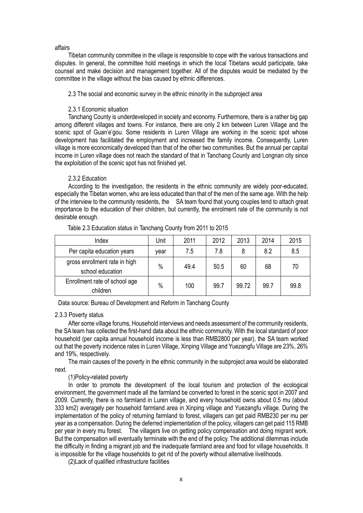#### affairs

Tibetan community committee in the village is responsible to cope with the various transactions and disputes. In general, the committee hold meetings in which the local Tibetans would participate, take counsel and make decision and management together. All of the disputes would be mediated by the committee in the village without the bias caused by ethnic differences.

<span id="page-10-0"></span>2.3 The social and economic survey in the ethnic minority in the subproject area

#### 2.3.1 Economic situation

<span id="page-10-1"></span>Tanchang County is underdeveloped in society and economy. Furthermore, there is a rather big gap among different villages and towns. For instance, there are only 2 km between Luren Village and the scenic spot of Guan'e'gou. Some residents in Luren Village are working in the scenic spot whose development has facilitated the employment and increased the family income. Consequently, Luren village is more economically developed than that of the other two communities. But the annual per capital income in Luren village does not reach the standard of that in Tanchang County and Longnan city since the exploitation of the scenic spot has not finished yet.

#### 2.3.2 Education

<span id="page-10-2"></span>According to the investigation, the residents in the ethnic community are widely poor-educated, especially the Tibetan women, who are less educated than that of the men of the same age. With the help of the interview to the community residents, the SA team found that young couples tend to attach great importance to the education of their children, but currently, the enrolment rate of the community is not desirable enough.

| Index                                             | Unit | 2011 | 2012 | 2013  | 2014 | 2015 |
|---------------------------------------------------|------|------|------|-------|------|------|
| Per capita education years                        | vear | 7.5  | 7.8  | 8     | 8.2  | 8.5  |
| gross enrollment rate in high<br>school education | $\%$ | 49.4 | 50.5 | 60    | 68   | 70   |
| Enrollment rate of school age<br>children         | $\%$ | 100  | 99.7 | 99.72 | 99.7 | 99.8 |

Table 2.3 Education status in Tanchang County from 2011 to 2015

Data source: Bureau of Development and Reform in Tanchang County

#### <span id="page-10-3"></span>2.3.3 Poverty status

 After some village forums, Household interviews and needs assessment of the community residents, the SA team has collected the first-hand data about the ethnic community. With the local standard of poor household (per capita annual household income is less than RMB2800 per year), the SA team worked out that the poverty incidence rates in Luren Village, Xinping Village and Yuezangfu Village are 23%, 26% and 19%, respectively.

The main causes of the poverty in the ethnic community in the subproject area would be elaborated next.

#### (1)Policy-related poverty

 In order to promote the development of the local tourism and protection of the ecological environment, the government made all the farmland be converted to forest in the scenic spot in 2007 and 2009. Currently, there is no farmland in Luren village, and every household owns about 0.5 mu (about 333 km2) averagely per household farmland area in Xinping village and Yuezangfu village. During the implementation of the policy of returning farmland to forest, villagers can get paid RMB230 per mu per year as a compensation. During the deferred implementation of the policy, villagers can get paid 115 RMB per year in every mu forest. The villagers live on getting policy compensation and doing migrant work. But the compensation will eventually terminate with the end of the policy. The additional dilemmas include the difficulty in finding a migrant job and the inadequate farmland area and food for village households. It is impossible for the village households to get rid of the poverty without alternative livelihoods.

(2)Lack of qualified infrastructure facilities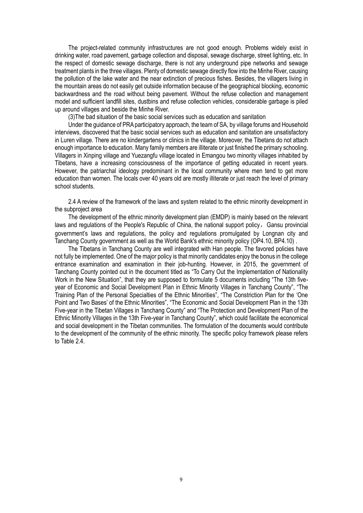The project-related community infrastructures are not good enough. Problems widely exist in drinking water, road pavement, garbage collection and disposal, sewage discharge, street lighting, etc. In the respect of domestic sewage discharge, there is not any underground pipe networks and sewage treatment plants in the three villages. Plenty of domestic sewage directly flow into the Minhe River, causing the pollution of the lake water and the near extinction of precious fishes. Besides, the villagers living in the mountain areas do not easily get outside information because of the geographical blocking, economic backwardness and the road without being pavement. Without the refuse collection and management model and sufficient landfill sites, dustbins and refuse collection vehicles, considerable garbage is piled up around villages and beside the Minhe River.

(3)The bad situation of the basic social services such as education and sanitation

Under the guidance of PRA participatory approach, the team of SA, by village forums and Household interviews, discovered that the basic social services such as education and sanitation are unsatisfactory in Luren village. There are no kindergartens or clinics in the village. Moreover, the Tibetans do not attach enough importance to education. Many family members are illiterate or just finished the primary schooling. Villagers in Xinping village and Yuezangfu village located in Emangou two minority villages inhabited by Tibetans, have a increasing consciousness of the importance of getting educated in recent years. However, the patriarchal ideology predominant in the local community where men tend to get more education than women. The locals over 40 years old are mostly illiterate or just reach the level of primary school students.

<span id="page-11-0"></span>2.4 A review of the framework of the laws and system related to the ethnic minority development in the subproject area

The development of the ethnic minority development plan (EMDP) is mainly based on the relevant laws and regulations of the People's Republic of China, the national support policy, Gansu provincial government's laws and regulations, the policy and regulations promulgated by Longnan city and Tanchang County government as well as the World Bank's ethnic minority policy (OP4.10, BP4.10) .

The Tibetans in Tanchang County are well integrated with Han people. The favored policies have not fully be implemented. One of the major policy is that minority candidates enjoy the bonus in the college entrance examination and examination in their job-hunting. However, in 2015, the government of Tanchang County pointed out in the document titled as "To Carry Out the Implementation of Nationality Work in the New Situation", that they are supposed to formulate 5 documents including "The 13th fiveyear of Economic and Social Development Plan in Ethnic Minority Villages in Tanchang County", "The Training Plan of the Personal Specialties of the Ethnic Minorities", "The Constriction Plan for the 'One Point and Two Bases' of the Ethnic Minorities", "The Economic and Social Development Plan in the 13th Five-year in the Tibetan Villages in Tanchang County" and "The Protection and Development Plan of the Ethnic Minority Villages in the 13th Five-year in Tanchang County", which could facilitate the economical and social development in the Tibetan communities. The formulation of the documents would contribute to the development of the community of the ethnic minority. The specific policy framework please refers to Table 2.4.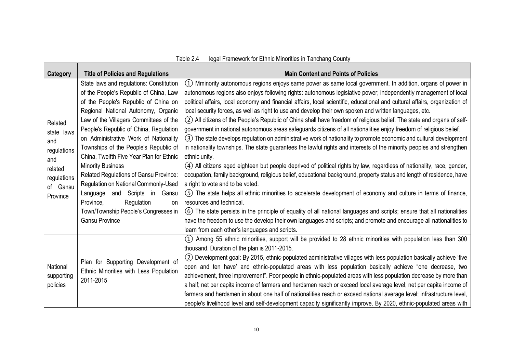<u> Tanzania de la provincia de la provincia de la provincia de la provincia de la provincia de la provincia de la provincia de la provincia de la provincia de la provincia de la provincia de la provincia de la provincia de </u>

| Category                                                             | <b>Title of Policies and Regulations</b>                                                                                                                                                                                                                                                                                           | <b>Main Content and Points of Policies</b>                                                                                                                                                                                                                                                                                                                                                                                                                                                                                                                                                                                                                                                                                                                                                                                                                                                    |
|----------------------------------------------------------------------|------------------------------------------------------------------------------------------------------------------------------------------------------------------------------------------------------------------------------------------------------------------------------------------------------------------------------------|-----------------------------------------------------------------------------------------------------------------------------------------------------------------------------------------------------------------------------------------------------------------------------------------------------------------------------------------------------------------------------------------------------------------------------------------------------------------------------------------------------------------------------------------------------------------------------------------------------------------------------------------------------------------------------------------------------------------------------------------------------------------------------------------------------------------------------------------------------------------------------------------------|
| Related<br>state laws<br>and                                         | State laws and regulations: Constitution<br>of the People's Republic of China, Law<br>of the People's Republic of China on<br>Regional National Autonomy, Organic<br>Law of the Villagers Committees of the<br>People's Republic of China, Regulation<br>on Administrative Work of Nationality                                     | $(1)$ Mminority autonomous regions enjoys same power as same local government. In addition, organs of power in<br>autonomous regions also enjoys following rights: autonomous legislative power; independently management of local<br>political affairs, local economy and financial affairs, local scientific, educational and cultural affairs, organization of<br>local security forces, as well as right to use and develop their own spoken and written languages, etc.<br>(2) All citizens of the People's Republic of China shall have freedom of religious belief. The state and organs of self-<br>government in national autonomous areas safeguards citizens of all nationalities enjoy freedom of religious belief.<br>3) The state develops regulation on administrative work of nationality to promote economic and cultural development                                        |
| regulations<br>and<br>related<br>regulations<br>of Gansu<br>Province | Townships of the People's Republic of<br>China, Twelfth Five Year Plan for Ethnic<br><b>Minority Business</b><br>Related Regulations of Gansu Province:<br>Regulation on National Commonly-Used<br>Language and Scripts in Gansu<br>Regulation<br>Province,<br>on<br>Town/Township People's Congresses in<br><b>Gansu Province</b> | in nationality townships. The state guarantees the lawful rights and interests of the minority peoples and strengthen<br>ethnic unity.<br>(4) All citizens aged eighteen but people deprived of political rights by law, regardless of nationality, race, gender,<br>occupation, family background, religious belief, educational background, property status and length of residence, have<br>a right to vote and to be voted.<br>(5) The state helps all ethnic minorities to accelerate development of economy and culture in terms of finance,<br>resources and technical.<br>(6) The state persists in the principle of equality of all national languages and scripts; ensure that all nationalities<br>have the freedom to use the develop their own languages and scripts; and promote and encourage all nationalities to<br>learn from each other's languages and scripts.           |
| National<br>supporting<br>policies                                   | Plan for Supporting Development of<br>Ethnic Minorities with Less Population<br>2011-2015                                                                                                                                                                                                                                          | (1) Among 55 ethnic minorities, support will be provided to 28 ethnic minorities with population less than 300<br>thousand. Duration of the plan is 2011-2015.<br>(2) Development goal: By 2015, ethnic-populated administrative villages with less population basically achieve 'five<br>open and ten have' and ethnic-populated areas with less population basically achieve "one decrease, two<br>achievement, three improvement". Poor people in ethnic-populated areas with less population decrease by more than<br>a half; net per capita income of farmers and herdsmen reach or exceed local average level; net per capita income of<br>farmers and herdsmen in about one half of nationalities reach or exceed national average level; infrastructure level,<br>people's livelihood level and self-development capacity significantly improve. By 2020, ethnic-populated areas with |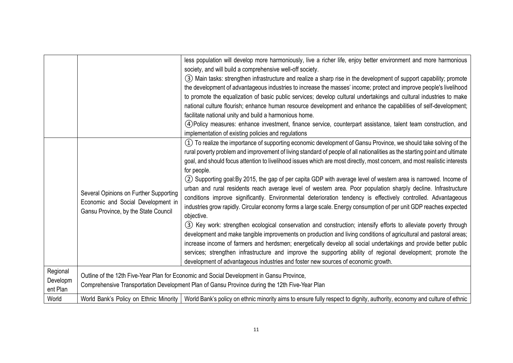|          |                                                                                                | less population will develop more harmoniously, live a richer life, enjoy better environment and more harmonious           |  |  |  |
|----------|------------------------------------------------------------------------------------------------|----------------------------------------------------------------------------------------------------------------------------|--|--|--|
|          |                                                                                                | society, and will build a comprehensive well-off society.                                                                  |  |  |  |
|          |                                                                                                | (3) Main tasks: strengthen infrastructure and realize a sharp rise in the development of support capability; promote       |  |  |  |
|          |                                                                                                | the development of advantageous industries to increase the masses' income; protect and improve people's livelihood         |  |  |  |
|          |                                                                                                | to promote the equalization of basic public services; develop cultural undertakings and cultural industries to make        |  |  |  |
|          |                                                                                                | national culture flourish; enhance human resource development and enhance the capabilities of self-development;            |  |  |  |
|          |                                                                                                | facilitate national unity and build a harmonious home.                                                                     |  |  |  |
|          |                                                                                                | 4) Policy measures: enhance investment, finance service, counterpart assistance, talent team construction, and             |  |  |  |
|          |                                                                                                | implementation of existing policies and regulations                                                                        |  |  |  |
|          |                                                                                                | (1) To realize the importance of supporting economic development of Gansu Province, we should take solving of the          |  |  |  |
|          |                                                                                                | rural poverty problem and improvement of living standard of people of all nationalities as the starting point and ultimate |  |  |  |
|          |                                                                                                | goal, and should focus attention to livelihood issues which are most directly, most concern, and most realistic interests  |  |  |  |
|          |                                                                                                | for people.                                                                                                                |  |  |  |
|          |                                                                                                | (2) Supporting goal:By 2015, the gap of per capita GDP with average level of western area is narrowed. Income of           |  |  |  |
|          |                                                                                                | urban and rural residents reach average level of western area. Poor population sharply decline. Infrastructure             |  |  |  |
|          | Several Opinions on Further Supporting                                                         | conditions improve significantly. Environmental deterioration tendency is effectively controlled. Advantageous             |  |  |  |
|          | Economic and Social Development in                                                             | industries grow rapidly. Circular economy forms a large scale. Energy consumption of per unit GDP reaches expected         |  |  |  |
|          | Gansu Province, by the State Council                                                           | objective.                                                                                                                 |  |  |  |
|          |                                                                                                | (3) Key work: strengthen ecological conservation and construction; intensify efforts to alleviate poverty through          |  |  |  |
|          |                                                                                                | development and make tangible improvements on production and living conditions of agricultural and pastoral areas;         |  |  |  |
|          |                                                                                                | increase income of farmers and herdsmen; energetically develop all social undertakings and provide better public           |  |  |  |
|          |                                                                                                | services; strengthen infrastructure and improve the supporting ability of regional development; promote the                |  |  |  |
|          |                                                                                                | development of advantageous industries and foster new sources of economic growth.                                          |  |  |  |
| Regional |                                                                                                |                                                                                                                            |  |  |  |
| Developm | Outline of the 12th Five-Year Plan for Economic and Social Development in Gansu Province,      |                                                                                                                            |  |  |  |
| ent Plan | Comprehensive Transportation Development Plan of Gansu Province during the 12th Five-Year Plan |                                                                                                                            |  |  |  |
| World    | World Bank's Policy on Ethnic Minority                                                         | World Bank's policy on ethnic minority aims to ensure fully respect to dignity, authority, economy and culture of ethnic   |  |  |  |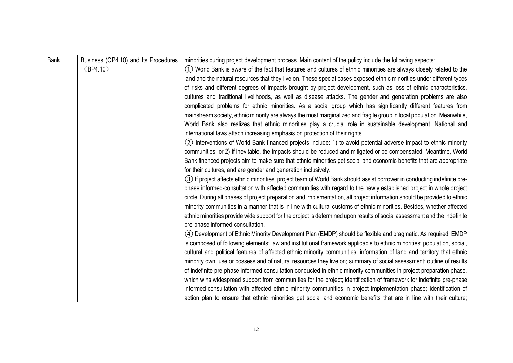| <b>Bank</b> | Business (OP4.10) and Its Procedures | minorities during project development process. Main content of the policy include the following aspects:                  |
|-------------|--------------------------------------|---------------------------------------------------------------------------------------------------------------------------|
|             | (BP4.10)                             | 1) World Bank is aware of the fact that features and cultures of ethnic minorities are always closely related to the      |
|             |                                      | land and the natural resources that they live on. These special cases exposed ethnic minorities under different types     |
|             |                                      | of risks and different degrees of impacts brought by project development, such as loss of ethnic characteristics,         |
|             |                                      | cultures and traditional livelihoods, as well as disease attacks. The gender and generation problems are also             |
|             |                                      | complicated problems for ethnic minorities. As a social group which has significantly different features from             |
|             |                                      | mainstream society, ethnic minority are always the most marginalized and fragile group in local population. Meanwhile,    |
|             |                                      | World Bank also realizes that ethnic minorities play a crucial role in sustainable development. National and              |
|             |                                      | international laws attach increasing emphasis on protection of their rights.                                              |
|             |                                      | (2) Interventions of World Bank financed projects include: 1) to avoid potential adverse impact to ethnic minority        |
|             |                                      | communities, or 2) if inevitable, the impacts should be reduced and mitigated or be compensated. Meantime, World          |
|             |                                      | Bank financed projects aim to make sure that ethnic minorities get social and economic benefits that are appropriate      |
|             |                                      | for their cultures, and are gender and generation inclusively.                                                            |
|             |                                      | (3) If project affects ethnic minorities, project team of World Bank should assist borrower in conducting indefinite pre- |
|             |                                      | phase informed-consultation with affected communities with regard to the newly established project in whole project       |
|             |                                      | circle. During all phases of project preparation and implementation, all project information should be provided to ethnic |
|             |                                      | minority communities in a manner that is in line with cultural customs of ethnic minorities. Besides, whether affected    |
|             |                                      | ethnic minorities provide wide support for the project is determined upon results of social assessment and the indefinite |
|             |                                      | pre-phase informed-consultation.                                                                                          |
|             |                                      | (4) Development of Ethnic Minority Development Plan (EMDP) should be flexible and pragmatic. As required, EMDP            |
|             |                                      | is composed of following elements: law and institutional framework applicable to ethnic minorities; population, social,   |
|             |                                      | cultural and political features of affected ethnic minority communities, information of land and territory that ethnic    |
|             |                                      | minority own, use or possess and of natural resources they live on; summary of social assessment; outline of results      |
|             |                                      | of indefinite pre-phase informed-consultation conducted in ethnic minority communities in project preparation phase,      |
|             |                                      | which wins widespread support from communities for the project; identification of framework for indefinite pre-phase      |
|             |                                      | informed-consultation with affected ethnic minority communities in project implementation phase; identification of        |
|             |                                      | action plan to ensure that ethnic minorities get social and economic benefits that are in line with their culture;        |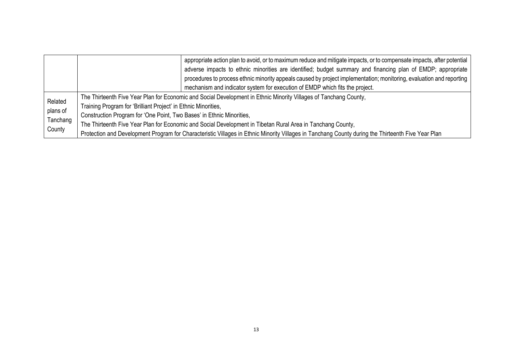|                      |                                                                                                                                                    | appropriate action plan to avoid, or to maximum reduce and mitigate impacts, or to compensate impacts, after potential |  |  |  |
|----------------------|----------------------------------------------------------------------------------------------------------------------------------------------------|------------------------------------------------------------------------------------------------------------------------|--|--|--|
|                      |                                                                                                                                                    | adverse impacts to ethnic minorities are identified; budget summary and financing plan of EMDP; appropriate            |  |  |  |
|                      |                                                                                                                                                    | procedures to process ethnic minority appeals caused by project implementation; monitoring, evaluation and reporting   |  |  |  |
|                      |                                                                                                                                                    | mechanism and indicator system for execution of EMDP which fits the project.                                           |  |  |  |
|                      | The Thirteenth Five Year Plan for Economic and Social Development in Ethnic Minority Villages of Tanchang County,                                  |                                                                                                                        |  |  |  |
| Related              | Training Program for 'Brilliant Project' in Ethnic Minorities,                                                                                     |                                                                                                                        |  |  |  |
| plans of<br>Tanchang | Construction Program for 'One Point, Two Bases' in Ethnic Minorities,                                                                              |                                                                                                                        |  |  |  |
|                      | The Thirteenth Five Year Plan for Economic and Social Development in Tibetan Rural Area in Tanchang County,                                        |                                                                                                                        |  |  |  |
| County               | Protection and Development Program for Characteristic Villages in Ethnic Minority Villages in Tanchang County during the Thirteenth Five Year Plan |                                                                                                                        |  |  |  |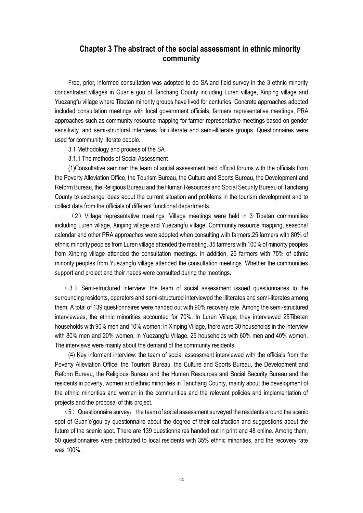## <span id="page-16-0"></span>**Chapter 3 The abstract of the social assessment in ethnic minority community**

Free, prior, informed consultation was adopted to do SA and field survey in the 3 ethnic minority concentrated villages in Guan'e gou of Tanchang County including Luren village, Xinping village and Yuezangfu village where Tibetan minority groups have lived for centuries. Concrete approaches adopted included consultation meetings with local government officials, farmers representative meetings, PRA approaches such as community resource mapping for farmer representative meetings based on gender sensitivity, and semi-structural interviews for illiterate and semi-illiterate groups. Questionnaires were used for community literate people.

3.1 Methodology and process of the SA

<span id="page-16-1"></span>3.1.1 The methods of Social Assessment

(1)Consultative seminar: the team of social assessment held official forums with the officials from the Poverty Alleviation Office, the Tourism Bureau, the Culture and Sports Bureau, the Development and Reform Bureau, the Religious Bureau and the Human Resources and Social Security Bureau of Tanchang County to exchange ideas about the current situation and problems in the tourism development and to collect data from the officials of different functional departments.

 $(2)$  Village representative meetings. Village meetings were held in 3 Tibetan communities including Luren village, Xinping village and Yuezangfu village. Community resource mapping, seasonal calendar and other PRA approaches were adopted when consulting with farmers.25 farmers with 80% of ethnic minority peoples from Luren village attended the meeting. 35 farmers with 100% of minority peoples from Xinping village attended the consultation meetings. In addition, 25 farmers with 75% of ethnic minority peoples from Yuezangfu village attended the consultation meetings. Whether the communities support and project and their needs were consulted during the meetings.

(3) Semi-structured interview: the team of social assessment issued questionnaires to the surrounding residents, operators and semi-structured interviewed the illiterates and semi-literates among them. A total of 139 questionnaires were handed out with 90% recovery rate. Among the semi-structured interviewees, the ethnic minorities accounted for 70%. In Luren Village, they interviewed 25Tibetan households with 90% men and 10% women; in Xinping Village, there were 30 households in the interview with 80% men and 20% women; in Yuezangfu Village, 25 households with 60% men and 40% women. The interviews were mainly about the demand of the community residents.

(4) Key informant interview: the team of social assessment interviewed with the officials from the Poverty Alleviation Office, the Tourism Bureau, the Culture and Sports Bureau, the Development and Reform Bureau, the Religious Bureau and the Human Resources and Social Security Bureau and the residents in poverty, women and ethnic minorities in Tanchang County, mainly about the development of the ethnic minorities and women in the communities and the relevant policies and implementation of projects and the proposal of this project.

 $(5)$  Questionnaire survey: the team of social assessment surveyed the residents around the scenic spot of Guan'e'gou by questionnaire about the degree of their satisfaction and suggestions about the future of the scenic spot. There are 139 questionnaires handed out in print and 48 online. Among them, 50 questionnaires were distributed to local residents with 35% ethnic minorities, and the recovery rate was 100%.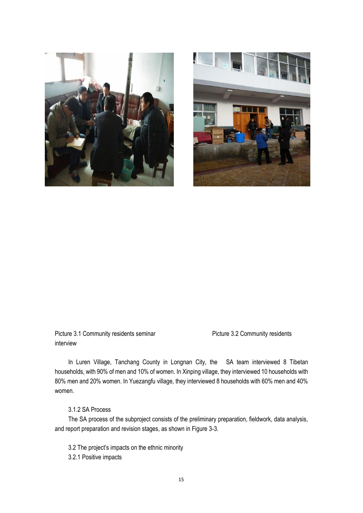



Picture 3.1 Community residents seminar Picture 3.2 Community residents interview

In Luren Village, Tanchang County in Longnan City, the SA team interviewed 8 Tibetan households, with 90% of men and 10% of women. In Xinping village, they interviewed 10 households with 80% men and 20% women. In Yuezangfu village, they interviewed 8 households with 60% men and 40% women.

### <span id="page-17-0"></span>3.1.2 SA Process

The SA process of the subproject consists of the preliminary preparation, fieldwork, data analysis, and report preparation and revision stages, as shown in Figure 3-3.

- <span id="page-17-1"></span>3.2 The project's impacts on the ethnic minority
- <span id="page-17-2"></span>3.2.1 Positive impacts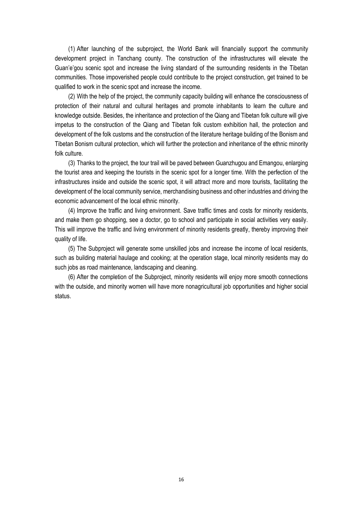(1) After launching of the subproject, the World Bank will financially support the community development project in Tanchang county. The construction of the infrastructures will elevate the Guan'e'gou scenic spot and increase the living standard of the surrounding residents in the Tibetan communities. Those impoverished people could contribute to the project construction, get trained to be qualified to work in the scenic spot and increase the income.

(2) With the help of the project, the community capacity building will enhance the consciousness of protection of their natural and cultural heritages and promote inhabitants to learn the culture and knowledge outside. Besides, the inheritance and protection of the Qiang and Tibetan folk culture will give impetus to the construction of the Qiang and Tibetan folk custom exhibition hall, the protection and development of the folk customs and the construction of the literature heritage building of the Bonism and Tibetan Bonism cultural protection, which will further the protection and inheritance of the ethnic minority folk culture.

(3) Thanks to the project, the tour trail will be paved between Guanzhugou and Emangou, enlarging the tourist area and keeping the tourists in the scenic spot for a longer time. With the perfection of the infrastructures inside and outside the scenic spot, it will attract more and more tourists, facilitating the development of the local community service, merchandising business and other industries and driving the economic advancement of the local ethnic minority.

(4) Improve the traffic and living environment. Save traffic times and costs for minority residents, and make them go shopping, see a doctor, go to school and participate in social activities very easily. This will improve the traffic and living environment of minority residents greatly, thereby improving their quality of life.

(5) The Subproject will generate some unskilled jobs and increase the income of local residents, such as building material haulage and cooking; at the operation stage, local minority residents may do such jobs as road maintenance, landscaping and cleaning.

(6) After the completion of the Subproject, minority residents will enjoy more smooth connections with the outside, and minority women will have more nonagricultural job opportunities and higher social status.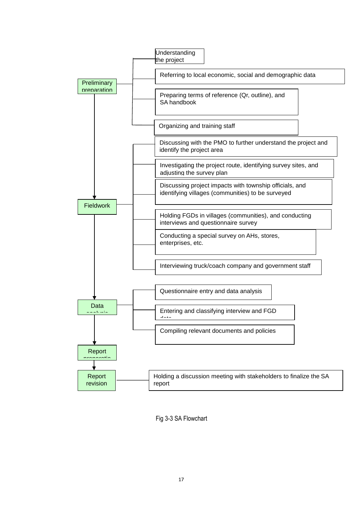

Fig 3-3 SA Flowchart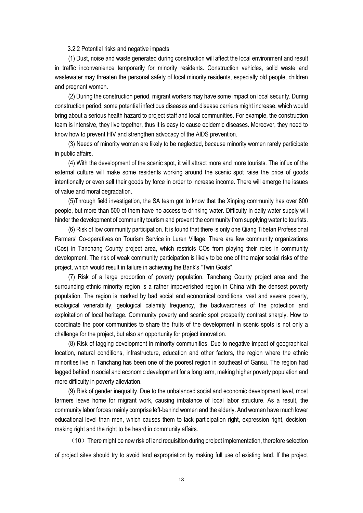#### 3.2.2 Potential risks and negative impacts

<span id="page-20-0"></span>(1) Dust, noise and waste generated during construction will affect the local environment and result in traffic inconvenience temporarily for minority residents. Construction vehicles, solid waste and wastewater may threaten the personal safety of local minority residents, especially old people, children and pregnant women.

(2) During the construction period, migrant workers may have some impact on local security. During construction period, some potential infectious diseases and disease carriers might increase, which would bring about a serious health hazard to project staff and local communities. For example, the construction team is intensive, they live together, thus it is easy to cause epidemic diseases. Moreover, they need to know how to prevent HIV and strengthen advocacy of the AIDS prevention.

(3) Needs of minority women are likely to be neglected, because minority women rarely participate in public affairs.

(4) With the development of the scenic spot, it will attract more and more tourists. The influx of the external culture will make some residents working around the scenic spot raise the price of goods intentionally or even sell their goods by force in order to increase income. There will emerge the issues of value and moral degradation.

(5)Through field investigation, the SA team got to know that the Xinping community has over 800 people, but more than 500 of them have no access to drinking water. Difficulty in daily water supply will hinder the development of community tourism and prevent the community from supplying water to tourists.

(6) Risk of low community participation. It is found that there is only one Qiang Tibetan Professional Farmers' Co-operatives on Tourism Service in Luren Village. There are few community organizations (Cos) in Tanchang County project area, which restricts COs from playing their roles in community development. The risk of weak community participation is likely to be one of the major social risks of the project, which would result in failure in achieving the Bank's "Twin Goals".

(7) Risk of a large proportion of poverty population. Tanchang County project area and the surrounding ethnic minority region is a rather impoverished region in China with the densest poverty population. The region is marked by bad social and economical conditions, vast and severe poverty, ecological venerability, geological calamity frequency, the backwardness of the protection and exploitation of local heritage. Community poverty and scenic spot prosperity contrast sharply. How to coordinate the poor communities to share the fruits of the development in scenic spots is not only a challenge for the project, but also an opportunity for project innovation.

(8) Risk of lagging development in minority communities. Due to negative impact of geographical location, natural conditions, infrastructure, education and other factors, the region where the ethnic minorities live in Tanchang has been one of the poorest region in southeast of Gansu. The region had lagged behind in social and economic development for a long term, making higher poverty population and more difficulty in poverty alleviation.

(9) Risk of gender inequality. Due to the unbalanced social and economic development level, most farmers leave home for migrant work, causing imbalance of local labor structure. As a result, the community labor forces mainly comprise left-behind women and the elderly. And women have much lower educational level than men, which causes them to lack participation right, expression right, decisionmaking right and the right to be heard in community affairs.

 $(10)$  There might be new risk of land requisition during project implementation, therefore selection of project sites should try to avoid land expropriation by making full use of existing land. If the project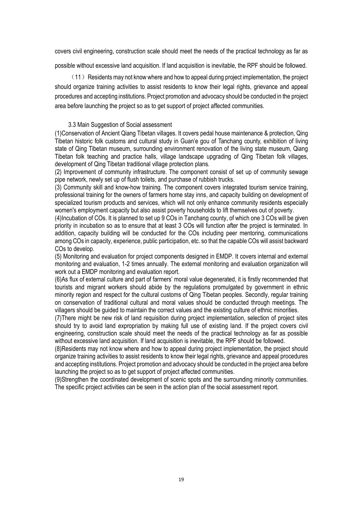covers civil engineering, construction scale should meet the needs of the practical technology as far as

possible without excessive land acquisition. If land acquisition is inevitable, the RPF should be followed.

 $(11)$  Residents may not know where and how to appeal during project implementation, the project should organize training activities to assist residents to know their legal rights, grievance and appeal procedures and accepting institutions. Project promotion and advocacy should be conducted in the project area before launching the project so as to get support of project affected communities.

#### 3.3 Main Suggestion of Social assessment

<span id="page-21-0"></span>(1)Conservation of Ancient Qiang Tibetan villages. It covers pedal house maintenance & protection, Qing Tibetan historic folk customs and cultural study in Guan'e gou of Tanchang county, exhibition of living state of Qing Tibetan museum, surrounding environment renovation of the living state museum, Qiang Tibetan folk teaching and practice halls, village landscape upgrading of Qing Tibetan folk villages, development of Qing Tibetan traditional village protection plans.

(2) Improvement of community infrastructure. The component consist of set up of community sewage pipe network, newly set up of flush toilets, and purchase of rubbish trucks.

(3) Community skill and know-how training. The component covers integrated tourism service training, professional training for the owners of farmers home stay inns, and capacity building on development of specialized tourism products and services, which will not only enhance community residents especially women's employment capacity but also assist poverty households to lift themselves out of poverty.

(4)Incubation of COs. It is planned to set up 9 COs in Tanchang county, of which one 3 COs will be given priority in incubation so as to ensure that at least 3 COs will function after the project is terminated. In addition, capacity building will be conducted for the COs including peer mentoring, communications among COs in capacity, experience, public participation, etc. so that the capable COs will assist backward COs to develop.

(5) Monitoring and evaluation for project components designed in EMDP. It covers internal and external monitoring and evaluation, 1-2 times annually. The external monitoring and evaluation organization will work out a EMDP monitoring and evaluation report.

(6)As flux of external culture and part of farmers' moral value degenerated, it is firstly recommended that tourists and migrant workers should abide by the regulations promulgated by government in ethnic minority region and respect for the cultural customs of Qing Tibetan peoples. Secondly, regular training on conservation of traditional cultural and moral values should be conducted through meetings. The villagers should be guided to maintain the correct values and the existing culture of ethnic minorities.

(7)There might be new risk of land requisition during project implementation, selection of project sites should try to avoid land expropriation by making full use of existing land. If the project covers civil engineering, construction scale should meet the needs of the practical technology as far as possible without excessive land acquisition. If land acquisition is inevitable, the RPF should be followed.

(8)Residents may not know where and how to appeal during project implementation, the project should organize training activities to assist residents to know their legal rights, grievance and appeal procedures and accepting institutions. Project promotion and advocacy should be conducted in the project area before launching the project so as to get support of project affected communities.

(9)Strengthen the coordinated development of scenic spots and the surrounding minority communities. The specific project activities can be seen in the action plan of the social assessment report.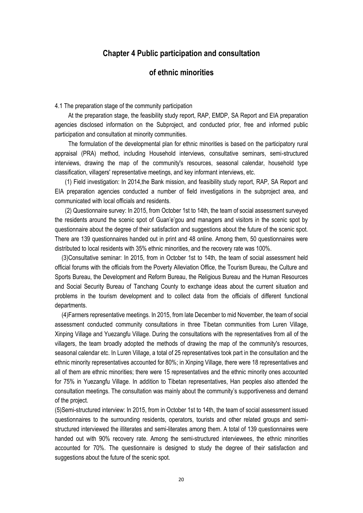## <span id="page-22-0"></span>**Chapter 4 Public participation and consultation**

## **of ethnic minorities**

<span id="page-22-2"></span><span id="page-22-1"></span>4.1 The preparation stage of the community participation

At the preparation stage, the feasibility study report, RAP, EMDP, SA Report and EIA preparation agencies disclosed information on the Subproject, and conducted prior, free and informed public participation and consultation at minority communities.

The formulation of the developmental plan for ethnic minorities is based on the participatory rural appraisal (PRA) method, including Household interviews, consultative seminars, semi-structured interviews, drawing the map of the community's resources, seasonal calendar, household type classification, villagers' representative meetings, and key informant interviews, etc.

 (1) Field investigation: In 2014,the Bank mission, and feasibility study report, RAP, SA Report and EIA preparation agencies conducted a number of field investigations in the subproject area, and communicated with local officials and residents.

 (2) Questionnaire survey: In 2015, from October 1st to 14th, the team of social assessment surveyed the residents around the scenic spot of Guan'e'gou and managers and visitors in the scenic spot by questionnaire about the degree of their satisfaction and suggestions about the future of the scenic spot. There are 139 questionnaires handed out in print and 48 online. Among them, 50 questionnaires were distributed to local residents with 35% ethnic minorities, and the recovery rate was 100%.

 (3)Consultative seminar: In 2015, from in October 1st to 14th, the team of social assessment held official forums with the officials from the Poverty Alleviation Office, the Tourism Bureau, the Culture and Sports Bureau, the Development and Reform Bureau, the Religious Bureau and the Human Resources and Social Security Bureau of Tanchang County to exchange ideas about the current situation and problems in the tourism development and to collect data from the officials of different functional departments.

 (4)Farmers representative meetings. In 2015, from late December to mid November, the team of social assessment conducted community consultations in three Tibetan communities from Luren Village, Xinping Village and Yuezangfu Village. During the consultations with the representatives from all of the villagers, the team broadly adopted the methods of drawing the map of the community's resources, seasonal calendar etc. In Luren Village, a total of 25 representatives took part in the consultation and the ethnic minority representatives accounted for 80%; in Xinping Village, there were 18 representatives and all of them are ethnic minorities; there were 15 representatives and the ethnic minority ones accounted for 75% in Yuezangfu Village. In addition to Tibetan representatives, Han peoples also attended the consultation meetings. The consultation was mainly about the community's supportiveness and demand of the project.

(5)Semi-structured interview: In 2015, from in October 1st to 14th, the team of social assessment issued questionnaires to the surrounding residents, operators, tourists and other related groups and semistructured interviewed the illiterates and semi-literates among them. A total of 139 questionnaires were handed out with 90% recovery rate. Among the semi-structured interviewees, the ethnic minorities accounted for 70%. The questionnaire is designed to study the degree of their satisfaction and suggestions about the future of the scenic spot.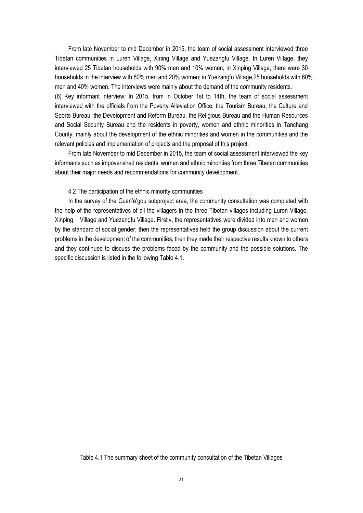From late November to mid December in 2015, the team of social assessment interviewed three Tibetan communities in Luren Village, Xining Village and Yuezangfu Village. In Luren Village, they interviewed 25 Tibetan households with 90% men and 10% women; in Xinping Village, there were 30 households in the interview with 80% men and 20% women; in Yuezangfu Village,25 households with 60% men and 40% women. The interviews were mainly about the demand of the community residents. (6) Key informant interview: In 2015, from in October 1st to 14th, the team of social assessment interviewed with the officials from the Poverty Alleviation Office, the Tourism Bureau, the Culture and Sports Bureau, the Development and Reform Bureau, the Religious Bureau and the Human Resources and Social Security Bureau and the residents in poverty, women and ethnic minorities in Tanchang County, mainly about the development of the ethnic minorities and women in the communities and the relevant policies and implementation of projects and the proposal of this project.

From late November to mid December in 2015, the team of social assessment interviewed the key informants such as impoverished residents, women and ethnic minorities from three Tibetan communities about their major needs and recommendations for community development.

#### 4.2 The participation of the ethnic minority communities

<span id="page-23-0"></span>In the survey of the Guan'e'gou subproject area, the community consultation was completed with the help of the representatives of all the villagers in the three Tibetan villages including Luren Village, Xinping Village and Yuezangfu Village. Firstly, the representatives were divided into men and women by the standard of social gender; then the representatives held the group discussion about the current problems in the development of the communities; then they made their respective results known to others and they continued to discuss the problems faced by the community and the possible solutions. The specific discussion is listed in the following Table 4.1.

#### Table 4.1 The summary sheet of the community consultation of the Tibetan Villages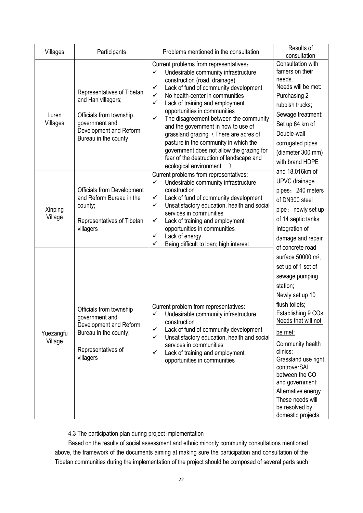| Villages             | Participants                                                                                                                                    | Problems mentioned in the consultation                                                                                                                                                                                                                                                                                                                                                                                                                                                                                                                                                   | Results of<br>consultation                                                                                                                                                                                                                                                                                                                                                      |
|----------------------|-------------------------------------------------------------------------------------------------------------------------------------------------|------------------------------------------------------------------------------------------------------------------------------------------------------------------------------------------------------------------------------------------------------------------------------------------------------------------------------------------------------------------------------------------------------------------------------------------------------------------------------------------------------------------------------------------------------------------------------------------|---------------------------------------------------------------------------------------------------------------------------------------------------------------------------------------------------------------------------------------------------------------------------------------------------------------------------------------------------------------------------------|
| Luren<br>Villages    | Representatives of Tibetan<br>and Han villagers;<br>Officials from township<br>government and<br>Development and Reform<br>Bureau in the county | Current problems from representatives:<br>Undesirable community infrastructure<br>✓<br>construction (road, drainage)<br>Lack of fund of community development<br>✓<br>No health-center in communities<br>✓<br>$\checkmark$<br>Lack of training and employment<br>opportunities in communities<br>The disagreement between the community<br>✓<br>and the government in how to use of<br>grassland grazing (There are acres of<br>pasture in the community in which the<br>government does not allow the grazing for<br>fear of the destruction of landscape and<br>ecological environment | Consultation with<br>famers on their<br>needs.<br>Needs will be met:<br>Purchasing 2<br>rubbish trucks;<br>Sewage treatment:<br>Set up 64 km of<br>Double-wall<br>corrugated pipes<br>(diameter 300 mm)<br>with brand HDPE                                                                                                                                                      |
| Xinping<br>Village   | Officials from Development<br>and Reform Bureau in the<br>county;<br>Representatives of Tibetan<br>villagers                                    | Current problems from representatives:<br>✓<br>Undesirable community infrastructure<br>construction<br>Lack of fund of community development<br>✓<br>Unsatisfactory education, health and social<br>✓<br>services in communities<br>Lack of training and employment<br>✓<br>opportunities in communities<br>Lack of energy<br>✓<br>✓<br>Being difficult to loan; high interest                                                                                                                                                                                                           | and 18.016km of<br>UPVC drainage<br>pipes; 240 meters<br>of DN300 steel<br>pipe; newly set up<br>of 14 septic tanks;<br>Integration of<br>damage and repair<br>of concrete road                                                                                                                                                                                                 |
| Yuezangfu<br>Village | Officials from township<br>government and<br>Development and Reform<br>Bureau in the county;<br>Representatives of<br>villagers                 | Current problem from representatives:<br>Undesirable community infrastructure<br>✓<br>construction<br>Lack of fund of community development<br>✓<br>Unsatisfactory education, health and social<br>✓<br>services in communities<br>Lack of training and employment<br>✓<br>opportunities in communities                                                                                                                                                                                                                                                                                  | surface 50000 m <sup>2</sup> ,<br>set up of 1 set of<br>sewage pumping<br>station;<br>Newly set up 10<br>flush toilets;<br>Establishing 9 COs.<br>Needs that will not<br>be met:<br>Community health<br>clinics:<br>Grassland use right<br>controverSAI<br>between the CO<br>and government;<br>Alternative energy.<br>These needs will<br>be resolved by<br>domestic projects. |

4.3 The participation plan during project implementation

<span id="page-24-0"></span>Based on the results of social assessment and ethnic minority community consultations mentioned above, the framework of the documents aiming at making sure the participation and consultation of the Tibetan communities during the implementation of the project should be composed of several parts such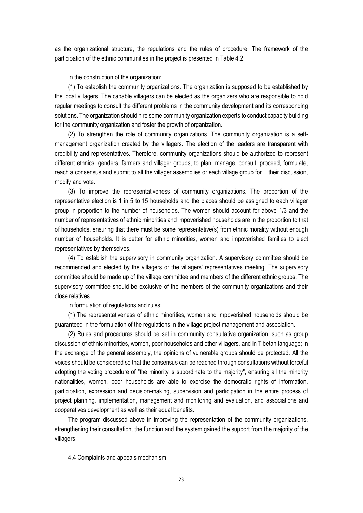as the organizational structure, the regulations and the rules of procedure. The framework of the participation of the ethnic communities in the project is presented in Table 4.2.

In the construction of the organization:

(1) To establish the community organizations. The organization is supposed to be established by the local villagers. The capable villagers can be elected as the organizers who are responsible to hold regular meetings to consult the different problems in the community development and its corresponding solutions. The organization should hire some community organization experts to conduct capacity building for the community organization and foster the growth of organization.

(2) To strengthen the role of community organizations. The community organization is a selfmanagement organization created by the villagers. The election of the leaders are transparent with credibility and representatives. Therefore, community organizations should be authorized to represent different ethnics, genders, farmers and villager groups, to plan, manage, consult, proceed, formulate, reach a consensus and submit to all the villager assemblies or each village group for their discussion, modify and vote.

(3) To improve the representativeness of community organizations. The proportion of the representative election is 1 in 5 to 15 households and the places should be assigned to each villager group in proportion to the number of households. The women should account for above 1/3 and the number of representatives of ethnic minorities and impoverished households are in the proportion to that of households, ensuring that there must be some representative(s) from ethnic morality without enough number of households. It is better for ethnic minorities, women and impoverished families to elect representatives by themselves.

(4) To establish the supervisory in community organization. A supervisory committee should be recommended and elected by the villagers or the villagers' representatives meeting. The supervisory committee should be made up of the village committee and members of the different ethnic groups. The supervisory committee should be exclusive of the members of the community organizations and their close relatives.

In formulation of regulations and rules:

(1) The representativeness of ethnic minorities, women and impoverished households should be guaranteed in the formulation of the regulations in the village project management and association.

(2) Rules and procedures should be set in community consultative organization, such as group discussion of ethnic minorities, women, poor households and other villagers, and in Tibetan language; in the exchange of the general assembly, the opinions of vulnerable groups should be protected. All the voices should be considered so that the consensus can be reached through consultations without forceful adopting the voting procedure of "the minority is subordinate to the majority", ensuring all the minority nationalities, women, poor households are able to exercise the democratic rights of information, participation, expression and decision-making, supervision and participation in the entire process of project planning, implementation, management and monitoring and evaluation, and associations and cooperatives development as well as their equal benefits.

The program discussed above in improving the representation of the community organizations, strengthening their consultation, the function and the system gained the support from the majority of the villagers.

<span id="page-25-0"></span>4.4 Complaints and appeals mechanism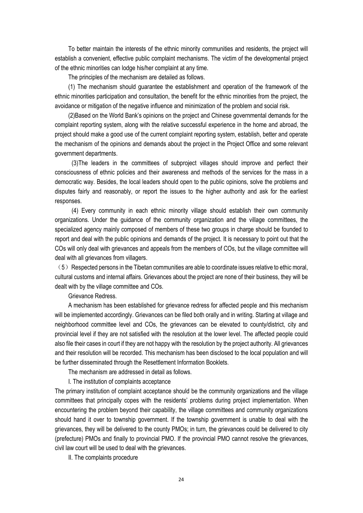To better maintain the interests of the ethnic minority communities and residents, the project will establish a convenient, effective public complaint mechanisms. The victim of the developmental project of the ethnic minorities can lodge his/her complaint at any time.

The principles of the mechanism are detailed as follows.

(1) The mechanism should guarantee the establishment and operation of the framework of the ethnic minorities participation and consultation, the benefit for the ethnic minorities from the project, the avoidance or mitigation of the negative influence and minimization of the problem and social risk.

(2)Based on the World Bank's opinions on the project and Chinese governmental demands for the complaint reporting system, along with the relative successful experience in the home and abroad, the project should make a good use of the current complaint reporting system, establish, better and operate the mechanism of the opinions and demands about the project in the Project Office and some relevant government departments.

(3)The leaders in the committees of subproject villages should improve and perfect their consciousness of ethnic policies and their awareness and methods of the services for the mass in a democratic way. Besides, the local leaders should open to the public opinions, solve the problems and disputes fairly and reasonably, or report the issues to the higher authority and ask for the earliest responses.

(4) Every community in each ethnic minority village should establish their own community organizations. Under the guidance of the community organization and the village committees, the specialized agency mainly composed of members of these two groups in charge should be founded to report and deal with the public opinions and demands of the project. It is necessary to point out that the COs will only deal with grievances and appeals from the members of COs, but the village committee will deal with all grievances from villagers.

 $(5)$  Respected persons in the Tibetan communities are able to coordinate issues relative to ethic moral, cultural customs and internal affairs. Grievances about the project are none of their business, they will be dealt with by the village committee and COs.

Grievance Redress.

A mechanism has been established for grievance redress for affected people and this mechanism will be implemented accordingly. Grievances can be filed both orally and in writing. Starting at village and neighborhood committee level and COs, the grievances can be elevated to county/district, city and provincial level if they are not satisfied with the resolution at the lower level. The affected people could also file their cases in court if they are not happy with the resolution by the project authority. All grievances and their resolution will be recorded. This mechanism has been disclosed to the local population and will be further disseminated through the Resettlement Information Booklets.

The mechanism are addressed in detail as follows.

I. The institution of complaints acceptance

The primary institution of complaint acceptance should be the community organizations and the village committees that principally copes with the residents' problems during project implementation. When encountering the problem beyond their capability, the village committees and community organizations should hand it over to township government. If the township government is unable to deal with the grievances, they will be delivered to the county PMOs; in turn, the grievances could be delivered to city (prefecture) PMOs and finally to provincial PMO. If the provincial PMO cannot resolve the grievances, civil law court will be used to deal with the grievances.

II. The complaints procedure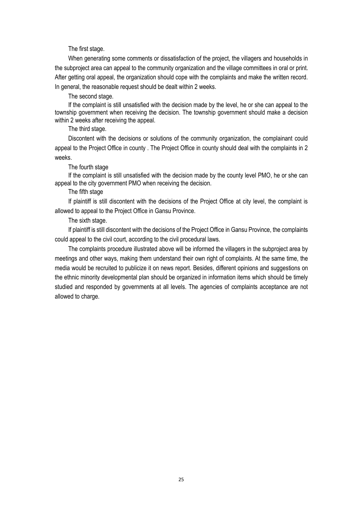The first stage.

When generating some comments or dissatisfaction of the project, the villagers and households in the subproject area can appeal to the community organization and the village committees in oral or print. After getting oral appeal, the organization should cope with the complaints and make the written record. In general, the reasonable request should be dealt within 2 weeks.

The second stage.

If the complaint is still unsatisfied with the decision made by the level, he or she can appeal to the township government when receiving the decision. The township government should make a decision within 2 weeks after receiving the appeal.

The third stage.

Discontent with the decisions or solutions of the community organization, the complainant could appeal to the Project Office in county . The Project Office in county should deal with the complaints in 2 weeks.

The fourth stage

If the complaint is still unsatisfied with the decision made by the county level PMO, he or she can appeal to the city government PMO when receiving the decision.

The fifth stage

If plaintiff is still discontent with the decisions of the Project Office at city level, the complaint is allowed to appeal to the Project Office in Gansu Province.

The sixth stage.

If plaintiff is still discontent with the decisions of the Project Office in Gansu Province, the complaints could appeal to the civil court, according to the civil procedural laws.

The complaints procedure illustrated above will be informed the villagers in the subproject area by meetings and other ways, making them understand their own right of complaints. At the same time, the media would be recruited to publicize it on news report. Besides, different opinions and suggestions on the ethnic minority developmental plan should be organized in information items which should be timely studied and responded by governments at all levels. The agencies of complaints acceptance are not allowed to charge.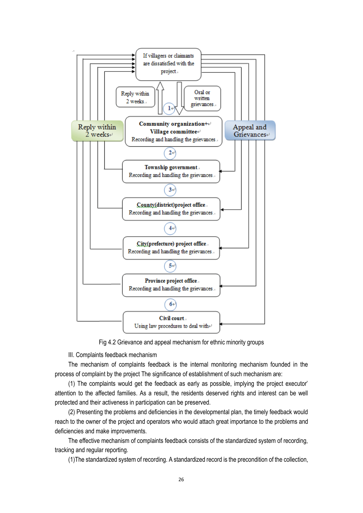

Fig 4.2 Grievance and appeal mechanism for ethnic minority groups

III. Complaints feedback mechanism

The mechanism of complaints feedback is the internal monitoring mechanism founded in the process of complaint by the project The significance of establishment of such mechanism are:

(1) The complaints would get the feedback as early as possible, implying the project executor' attention to the affected families. As a result, the residents deserved rights and interest can be well protected and their activeness in participation can be preserved.

(2) Presenting the problems and deficiencies in the developmental plan, the timely feedback would reach to the owner of the project and operators who would attach great importance to the problems and deficiencies and make improvements.

The effective mechanism of complaints feedback consists of the standardized system of recording, tracking and regular reporting.

(1)The standardized system of recording. A standardized record is the precondition of the collection,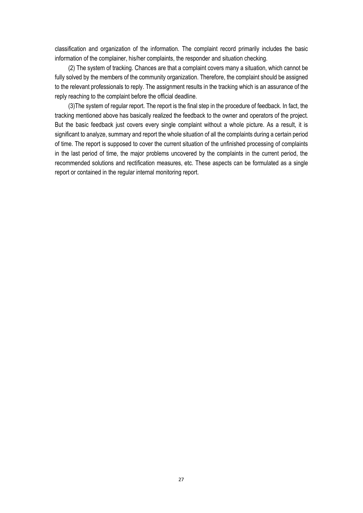classification and organization of the information. The complaint record primarily includes the basic information of the complainer, his/her complaints, the responder and situation checking.

(2) The system of tracking. Chances are that a complaint covers many a situation, which cannot be fully solved by the members of the community organization. Therefore, the complaint should be assigned to the relevant professionals to reply. The assignment results in the tracking which is an assurance of the reply reaching to the complaint before the official deadline.

(3)The system of regular report. The report is the final step in the procedure of feedback. In fact, the tracking mentioned above has basically realized the feedback to the owner and operators of the project. But the basic feedback just covers every single complaint without a whole picture. As a result, it is significant to analyze, summary and report the whole situation of all the complaints during a certain period of time. The report is supposed to cover the current situation of the unfinished processing of complaints in the last period of time, the major problems uncovered by the complaints in the current period, the recommended solutions and rectification measures, etc. These aspects can be formulated as a single report or contained in the regular internal monitoring report.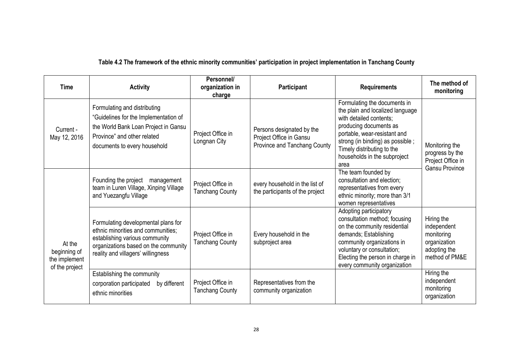## **Table 4.2 The framework of the ethnic minority communities' participation in project implementation in Tanchang County**

| <b>Time</b>                                               | <b>Activity</b>                                                                                                                                                                           | Personnel/<br>organization in<br>charge     | Participant                                                                          | <b>Requirements</b>                                                                                                                                                                                                                                             | The method of<br>monitoring                                                               |
|-----------------------------------------------------------|-------------------------------------------------------------------------------------------------------------------------------------------------------------------------------------------|---------------------------------------------|--------------------------------------------------------------------------------------|-----------------------------------------------------------------------------------------------------------------------------------------------------------------------------------------------------------------------------------------------------------------|-------------------------------------------------------------------------------------------|
| Current -<br>May 12, 2016                                 | Formulating and distributing<br>"Guidelines for the Implementation of<br>the World Bank Loan Project in Gansu<br>Province" and other related<br>documents to every household              | Project Office in<br>Longnan City           | Persons designated by the<br>Project Office in Gansu<br>Province and Tanchang County | Formulating the documents in<br>the plain and localized language<br>with detailed contents;<br>producing documents as<br>portable, wear-resistant and<br>strong (in binding) as possible;<br>Timely distributing to the<br>households in the subproject<br>area | Monitoring the<br>progress by the<br>Project Office in<br><b>Gansu Province</b>           |
|                                                           | Founding the project<br>management<br>team in Luren Village, Xinping Village<br>and Yuezangfu Village                                                                                     | Project Office in<br><b>Tanchang County</b> | every household in the list of<br>the participants of the project                    | The team founded by<br>consultation and election;<br>representatives from every<br>ethnic minority; more than 3/1<br>women representatives                                                                                                                      |                                                                                           |
| At the<br>beginning of<br>the implement<br>of the project | Formulating developmental plans for<br>ethnic minorities and communities;<br>establishing various community<br>organizations based on the community<br>reality and villagers' willingness | Project Office in<br><b>Tanchang County</b> | Every household in the<br>subproject area                                            | Adopting participatory<br>consultation method; focusing<br>on the community residential<br>demands; Establishing<br>community organizations in<br>voluntary or consultation;<br>Electing the person in charge in<br>every community organization                | Hiring the<br>independent<br>monitoring<br>organization<br>adopting the<br>method of PM&E |
|                                                           | Establishing the community<br>corporation participated<br>by different<br>ethnic minorities                                                                                               | Project Office in<br><b>Tanchang County</b> | Representatives from the<br>community organization                                   |                                                                                                                                                                                                                                                                 | Hiring the<br>independent<br>monitoring<br>organization                                   |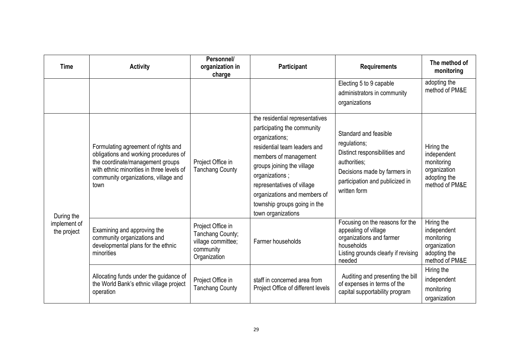| <b>Time</b>                 | <b>Activity</b>                                                                                                                                                                                               | Personnel/<br>organization in<br>charge                                                  | <b>Participant</b>                                                                                                                                                                                                                                                                                            | <b>Requirements</b>                                                                                                                                                       | The method of<br>monitoring                                                               |
|-----------------------------|---------------------------------------------------------------------------------------------------------------------------------------------------------------------------------------------------------------|------------------------------------------------------------------------------------------|---------------------------------------------------------------------------------------------------------------------------------------------------------------------------------------------------------------------------------------------------------------------------------------------------------------|---------------------------------------------------------------------------------------------------------------------------------------------------------------------------|-------------------------------------------------------------------------------------------|
|                             |                                                                                                                                                                                                               |                                                                                          |                                                                                                                                                                                                                                                                                                               | Electing 5 to 9 capable<br>administrators in community<br>organizations                                                                                                   | adopting the<br>method of PM&E                                                            |
| During the                  | Formulating agreement of rights and<br>obligations and working procedures of<br>the coordinate/management groups<br>with ethnic minorities in three levels of<br>community organizations, village and<br>town | Project Office in<br><b>Tanchang County</b>                                              | the residential representatives<br>participating the community<br>organizations;<br>residential team leaders and<br>members of management<br>groups joining the village<br>organizations;<br>representatives of village<br>organizations and members of<br>township groups going in the<br>town organizations | Standard and feasible<br>regulations;<br>Distinct responsibilities and<br>authorities;<br>Decisions made by farmers in<br>participation and publicized in<br>written form | Hiring the<br>independent<br>monitoring<br>organization<br>adopting the<br>method of PM&E |
| implement of<br>the project | Examining and approving the<br>community organizations and<br>developmental plans for the ethnic<br>minorities                                                                                                | Project Office in<br>Tanchang County;<br>village committee;<br>community<br>Organization | Farmer households                                                                                                                                                                                                                                                                                             | Focusing on the reasons for the<br>appealing of village<br>organizations and farmer<br>households<br>Listing grounds clearly if revising<br>needed                        | Hiring the<br>independent<br>monitoring<br>organization<br>adopting the<br>method of PM&E |
|                             | Allocating funds under the guidance of<br>the World Bank's ethnic village project<br>operation                                                                                                                | Project Office in<br><b>Tanchang County</b>                                              | staff in concerned area from<br>Project Office of different levels                                                                                                                                                                                                                                            | Auditing and presenting the bill<br>of expenses in terms of the<br>capital supportability program                                                                         | Hiring the<br>independent<br>monitoring<br>organization                                   |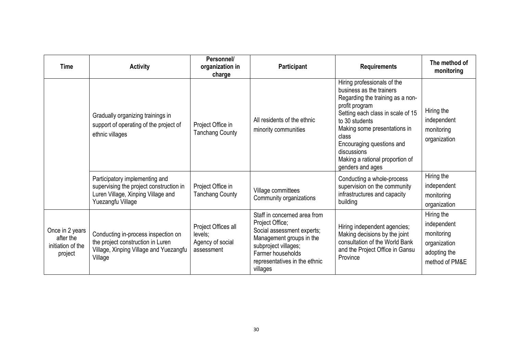| <b>Time</b>                                                  | <b>Activity</b>                                                                                                                      | Personnel/<br>organization in<br>charge                          | Participant                                                                                                                                                                                         | <b>Requirements</b>                                                                                                                                                                                                                                                                                              | The method of<br>monitoring                                                               |
|--------------------------------------------------------------|--------------------------------------------------------------------------------------------------------------------------------------|------------------------------------------------------------------|-----------------------------------------------------------------------------------------------------------------------------------------------------------------------------------------------------|------------------------------------------------------------------------------------------------------------------------------------------------------------------------------------------------------------------------------------------------------------------------------------------------------------------|-------------------------------------------------------------------------------------------|
|                                                              | Gradually organizing trainings in<br>support of operating of the project of<br>ethnic villages                                       | Project Office in<br><b>Tanchang County</b>                      | All residents of the ethnic<br>minority communities                                                                                                                                                 | Hiring professionals of the<br>business as the trainers<br>Regarding the training as a non-<br>profit program<br>Setting each class in scale of 15<br>to 30 students<br>Making some presentations in<br>class<br>Encouraging questions and<br>discussions<br>Making a rational proportion of<br>genders and ages | Hiring the<br>independent<br>monitoring<br>organization                                   |
|                                                              | Participatory implementing and<br>supervising the project construction in<br>Luren Village, Xinping Village and<br>Yuezangfu Village | Project Office in<br><b>Tanchang County</b>                      | Village committees<br>Community organizations                                                                                                                                                       | Conducting a whole-process<br>supervision on the community<br>infrastructures and capacity<br>building                                                                                                                                                                                                           | Hiring the<br>independent<br>monitoring<br>organization                                   |
| Once in 2 years<br>after the<br>initiation of the<br>project | Conducting in-process inspection on<br>the project construction in Luren<br>Village, Xinping Village and Yuezangfu<br>Village        | Project Offices all<br>levels;<br>Agency of social<br>assessment | Staff in concerned area from<br>Project Office;<br>Social assessment experts;<br>Management groups in the<br>subproject villages;<br>Farmer households<br>representatives in the ethnic<br>villages | Hiring independent agencies;<br>Making decisions by the joint<br>consultation of the World Bank<br>and the Project Office in Gansu<br>Province                                                                                                                                                                   | Hiring the<br>independent<br>monitoring<br>organization<br>adopting the<br>method of PM&E |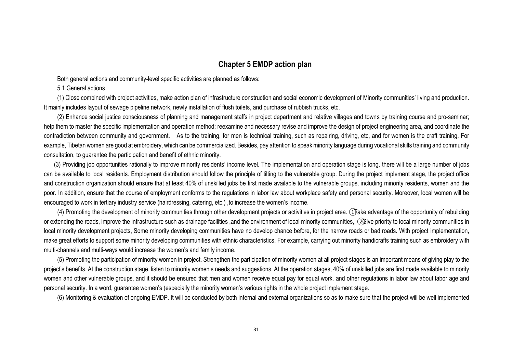## **Chapter 5 EMDP action plan**

Both general actions and community-level specific activities are planned as follows:

5.1 General actions

(1) Close combined with project activities, make action plan of infrastructure construction and social economic development of Minority communities' living and production. It mainly includes layout of sewage pipeline network, newly installation of flush toilets, and purchase of rubbish trucks, etc.

(2) Enhance social justice consciousness of planning and management staffs in project department and relative villages and towns by training course and pro-seminar; help them to master the specific implementation and operation method; reexamine and necessary revise and improve the design of project engineering area, and coordinate the contradiction between community and government. As to the training, for men is technical training, such as repairing, driving, etc, and for women is the craft training. For example, Tibetan women are good at embroidery, which can be commercialized. Besides, pay attention to speak minority language during vocational skills training and community consultation, to guarantee the participation and benefit of ethnic minority.

 (3) Providing job opportunities rationally to improve minority residents' income level. The implementation and operation stage is long, there will be a large number of jobs can be available to local residents. Employment distribution should follow the principle of tilting to the vulnerable group. During the project implement stage, the project office and construction organization should ensure that at least 40% of unskilled jobs be first made available to the vulnerable groups, including minority residents, women and the poor. In addition, ensure that the course of employment conforms to the regulations in labor law about workplace safety and personal security. Moreover, local women will be encouraged to work in tertiary industry service (hairdressing, catering, etc.) ,to increase the women's income.

<span id="page-33-1"></span><span id="page-33-0"></span> (4) Promoting the development of minority communities through other development projects or activities in project area. ①Take advantage of the opportunity of rebuilding or extending the roads, improve the infrastructure such as drainage facilities ,and the environment of local minority communities,; ②Give priority to local minority communities in local minority development projects, Some minority developing communities have no develop chance before, for the narrow roads or bad roads. With project implementation, make great efforts to support some minority developing communities with ethnic characteristics. For example, carrying out minority handicrafts training such as embroidery with multi-channels and multi-ways would increase the women's and family income.

(5) Promoting the participation of minority women in project. Strengthen the participation of minority women at all project stages is an important means of giving play to the project's benefits. At the construction stage, listen to minority women's needs and suggestions. At the operation stages, 40% of unskilled jobs are first made available to minority women and other vulnerable groups, and it should be ensured that men and women receive equal pay for equal work, and other regulations in labor law about labor age and personal security. In a word, guarantee women's (especially the minority women's various rights in the whole project implement stage.

(6) Monitoring & evaluation of ongoing EMDP. It will be conducted by both internal and external organizations so as to make sure that the project will be well implemented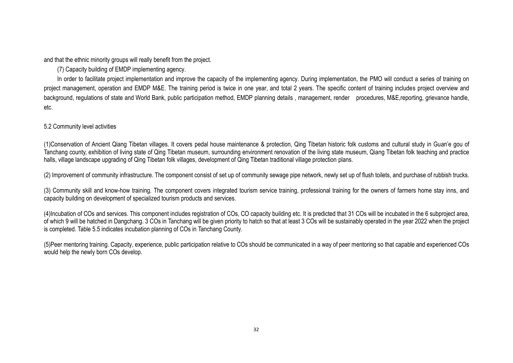and that the ethnic minority groups will really benefit from the project.

(7) Capacity building of EMDP implementing agency.

In order to facilitate project implementation and improve the capacity of the implementing agency. During implementation, the PMO will conduct a series of training on project management, operation and EMDP M&E. The training period is twice in one year, and total 2 years. The specific content of training includes project overyiew and background, regulations of state and World Bank, public participation method, EMDP planning details , management, render procedures, M&E,reporting, grievance handle, etc.

#### 5.2 Community level activities

(1)Conservation of Ancient Qiang Tibetan villages. It covers pedal house maintenance & protection, Qing Tibetan historic folk customs and cultural study in Guan'e gou of Tanchang county, exhibition of living state of Qing Tibetan museum, surrounding environment renovation of the living state museum, Qiang Tibetan folk teaching and practice halls, village landscape upgrading of Qing Tibetan folk villages, development of Qing Tibetan traditional village protection plans.

(2) Improvement of community infrastructure. The component consist of set up of community sewage pipe network, newly set up of flush toilets, and purchase of rubbish trucks.

(3) Community skill and know-how training. The component covers integrated tourism service training, professional training for the owners of farmers home stay inns, and capacity building on development of specialized tourism products and services.

(4)Incubation of COs and services. This component includes registration of COs, CO capacity building etc. It is predicted that 31 COs will be incubated in the 6 subproject area, of which 9 will be hatched in Dangchang. 3 COs in Tanchang will be given priority to hatch so that at least 3 COs will be sustainably operated in the year 2022 when the project is completed. Table 5.5 indicates incubation planning of COs in Tanchang County.

(5)Peer mentoring training. Capacity, experience, public participation relative to COs should be communicated in a way of peer mentoring so that capable and experienced COs would help the newly born COs develop.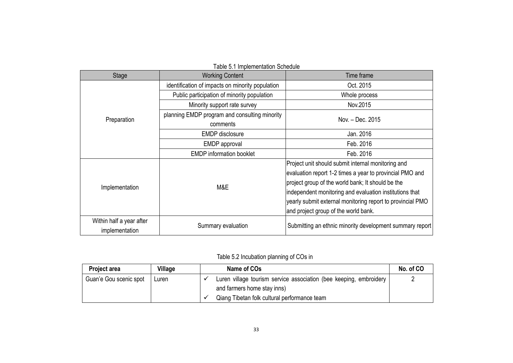| Stage                    | <b>Working Content</b>                           | Time frame                                                 |  |
|--------------------------|--------------------------------------------------|------------------------------------------------------------|--|
|                          | identification of impacts on minority population | Oct. 2015                                                  |  |
|                          | Public participation of minority population      | Whole process                                              |  |
|                          | Minority support rate survey                     | Nov.2015                                                   |  |
|                          | planning EMDP program and consulting minority    | Nov. - Dec. 2015                                           |  |
| Preparation              | comments                                         |                                                            |  |
|                          | <b>EMDP</b> disclosure                           | Jan. 2016                                                  |  |
|                          | <b>EMDP</b> approval                             | Feb. 2016                                                  |  |
|                          | <b>EMDP</b> information booklet                  | Feb. 2016                                                  |  |
|                          |                                                  | Project unit should submit internal monitoring and         |  |
|                          |                                                  | evaluation report 1-2 times a year to provincial PMO and   |  |
| Implementation           | M&E                                              | project group of the world bank; It should be the          |  |
|                          |                                                  | independent monitoring and evaluation institutions that    |  |
|                          |                                                  | yearly submit external monitoring report to provincial PMO |  |
|                          |                                                  | and project group of the world bank.                       |  |
| Within half a year after |                                                  |                                                            |  |
| implementation           | Summary evaluation                               | Submitting an ethnic minority development summary report   |  |

#### Table 5.1 Implementation Schedule

## Table 5.2 Incubation planning of COs in

| <b>Project area</b>    | Village | Name of COs                                                        | No. of CO |
|------------------------|---------|--------------------------------------------------------------------|-----------|
| Guan'e Gou scenic spot | Luren   | Luren village tourism service association (bee keeping, embroidery |           |
|                        |         | and farmers home stay inns)                                        |           |
|                        |         | Qiang Tibetan folk cultural performance team                       |           |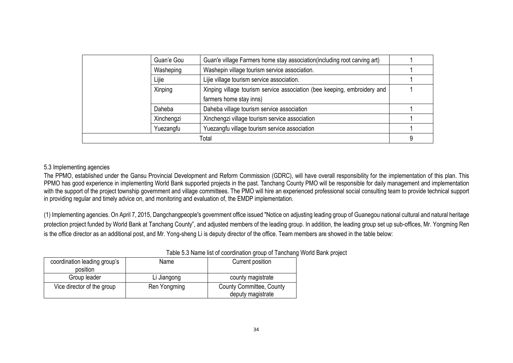| Guan'e Gou | Guan'e village Farmers home stay association (including root carving art) |   |
|------------|---------------------------------------------------------------------------|---|
| Washeping  | Washepin village tourism service association.                             |   |
| Lijie      | Lijie village tourism service association.                                |   |
| Xinping    | Xinping village tourism service association (bee keeping, embroidery and  |   |
|            | farmers home stay inns)                                                   |   |
| Daheba     | Daheba village tourism service association                                |   |
| Xinchengzi | Xinchengzi village tourism service association                            |   |
| Yuezangfu  | Yuezangfu village tourism service association                             |   |
|            | Total                                                                     | 9 |

#### 5.3 Implementing agencies

The PPMO, established under the Gansu Provincial Development and Reform Commission (GDRC), will have overall responsibility for the implementation of this plan. This PPMO has good experience in implementing World Bank supported projects in the past. Tanchang County PMO will be responsible for daily management and implementation with the support of the project township government and village committees. The PMO will hire an experienced professional social consulting team to provide technical support in providing regular and timely advice on, and monitoring and evaluation of, the EMDP implementation.

(1) Implementing agencies. On April 7, 2015, Dangchangpeople's government office issued "Notice on adjusting leading group of Guanegou national cultural and natural heritage protection project funded by World Bank at Tanchang County", and adjusted members of the leading group. In addition, the leading group set up sub-offices, Mr. Yongming Ren is the office director as an additional post, and Mr. Yong-sheng Li is deputy director of the office. Team members are showed in the table below:

<span id="page-36-0"></span>

| <b>Table 0.0 Hamb lict of coordination group or rangitally</b> |              |                          |  |
|----------------------------------------------------------------|--------------|--------------------------|--|
| coordination leading group's                                   | Name         | Current position         |  |
| position                                                       |              |                          |  |
| Group leader                                                   | Li Jiangong  | county magistrate        |  |
| Vice director of the group                                     | Ren Yongming | County Committee, County |  |
|                                                                |              | deputy magistrate        |  |

### Table 5.3 Name list of coordination group of Tanchang World Bank project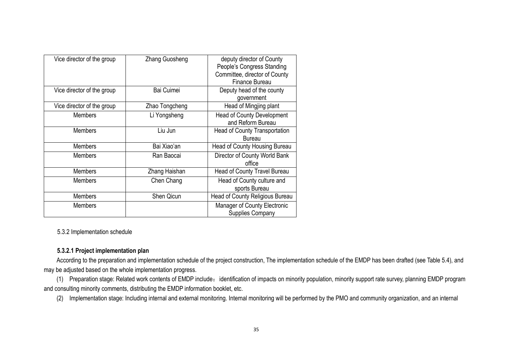| Vice director of the group | Zhang Guosheng | deputy director of County<br>People's Congress Standing<br>Committee, director of County<br>Finance Bureau |
|----------------------------|----------------|------------------------------------------------------------------------------------------------------------|
| Vice director of the group | Bai Cuimei     | Deputy head of the county<br>government                                                                    |
| Vice director of the group | Zhao Tongcheng | Head of Mingjing plant                                                                                     |
| <b>Members</b>             | Li Yongsheng   | <b>Head of County Development</b><br>and Reform Bureau                                                     |
| <b>Members</b>             | Liu Jun        | <b>Head of County Transportation</b><br><b>Bureau</b>                                                      |
| <b>Members</b>             | Bai Xiao'an    | Head of County Housing Bureau                                                                              |
| <b>Members</b>             | Ran Baocai     | Director of County World Bank<br>office                                                                    |
| <b>Members</b>             | Zhang Haishan  | Head of County Travel Bureau                                                                               |
| <b>Members</b>             | Chen Chang     | Head of County culture and<br>sports Bureau                                                                |
| <b>Members</b>             | Shen Qicun     | Head of County Religious Bureau                                                                            |
| <b>Members</b>             |                | Manager of County Electronic<br><b>Supplies Company</b>                                                    |

5.3.2 Implementation schedule

### **5.3.2.1 Project implementation plan**

According to the preparation and implementation schedule of the project construction, The implementation schedule of the EMDP has been drafted (see Table 5.4), and may be adjusted based on the whole implementation progress.

(1) Preparation stage: Related work contents of EMDP include: identification of impacts on minority population, minority support rate survey, planning EMDP program and consulting minority comments, distributing the EMDP information booklet, etc.

<span id="page-37-0"></span>(2) Implementation stage: Including internal and external monitoring. Internal monitoring will be performed by the PMO and community organization, and an internal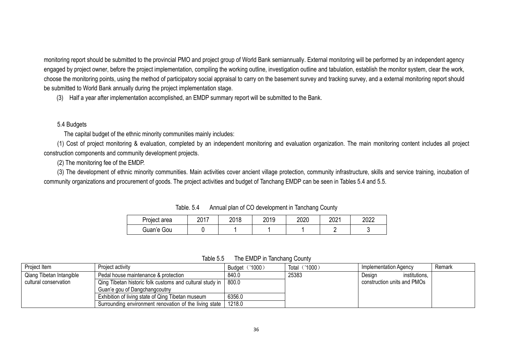monitoring report should be submitted to the provincial PMO and project group of World Bank semiannually. External monitoring will be performed by an independent agency engaged by project owner, before the project implementation, compiling the working outline, investigation outline and tabulation, establish the monitor system, clear the work, choose the monitoring points, using the method of participatory social appraisal to carry on the basement survey and tracking survey, and a external monitoring report should be submitted to World Bank annually during the project implementation stage.

(3) Half a year after implementation accomplished, an EMDP summary report will be submitted to the Bank.

#### 5.4 Budgets

The capital budget of the ethnic minority communities mainly includes:

(1) Cost of project monitoring & evaluation, completed by an independent monitoring and evaluation organization. The main monitoring content includes all project construction components and community development projects.

(2) The monitoring fee of the EMDP.

(3) The development of ethnic minority communities. Main activities cover ancient village protection, community infrastructure, skills and service training, incubation of community organizations and procurement of goods. The project activities and budget of Tanchang EMDP can be seen in Tables 5.4 and 5.5.

| Project area | 2017 | 2018 | 2019 | 2020 | 2021 | 2022 |
|--------------|------|------|------|------|------|------|
| Guan'e Gou   |      |      |      |      |      |      |

Table. 5.4 Annual plan of CO development in Tanchang County

Table 5.5 The EMDP in Tanchang County

<span id="page-38-0"></span>

| Project Item             | Project activity                                         | Budget ('1000) | ('1000)<br>Total | Implementation Agency       | Remark |
|--------------------------|----------------------------------------------------------|----------------|------------------|-----------------------------|--------|
| Qiang Tibetan Intangible | Pedal house maintenance & protection                     | 840.0          | 25383            | institutions,<br>Design     |        |
| cultural conservation    | Qing Tibetan historic folk customs and cultural study in | 800.0          |                  | construction units and PMOs |        |
|                          | Guan'e gou of Dangchangcoutny                            |                |                  |                             |        |
|                          | Exhibition of living state of Qing Tibetan museum        | 6356.0         |                  |                             |        |
|                          | Surrounding environment renovation of the living state   | 1218.0         |                  |                             |        |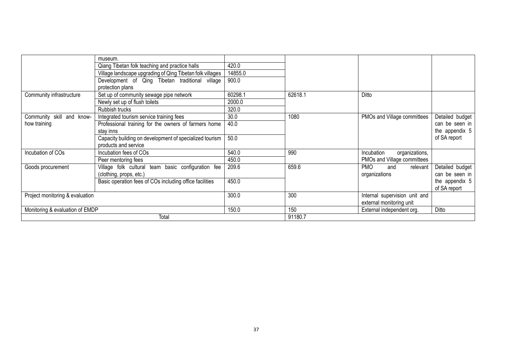|                                                                                                             | museum.                                                             |         |         |                               |                 |
|-------------------------------------------------------------------------------------------------------------|---------------------------------------------------------------------|---------|---------|-------------------------------|-----------------|
| Qiang Tibetan folk teaching and practice halls<br>Village landscape upgrading of Qing Tibetan folk villages |                                                                     | 420.0   |         |                               |                 |
|                                                                                                             |                                                                     | 14855.0 |         |                               |                 |
|                                                                                                             | Development of Qing Tibetan traditional village<br>protection plans | 900.0   |         |                               |                 |
| Community infrastructure                                                                                    | Set up of community sewage pipe network                             | 60298.1 | 62618.1 | Ditto                         |                 |
|                                                                                                             | Newly set up of flush toilets                                       | 2000.0  |         |                               |                 |
|                                                                                                             | Rubbish trucks                                                      | 320.0   |         |                               |                 |
| Community skill and know-                                                                                   | Integrated tourism service training fees                            | 30.0    | 1080    | PMOs and Village committees   | Detailed budget |
| how training                                                                                                | Professional training for the owners of farmers home                | 40.0    |         |                               | can be seen in  |
|                                                                                                             | stav inns                                                           |         |         |                               | the appendix 5  |
|                                                                                                             | Capacity building on development of specialized tourism             | 50.0    |         |                               | of SA report    |
|                                                                                                             | products and service                                                |         |         |                               |                 |
| Incubation of COs                                                                                           | Incubation fees of COs                                              | 540.0   | 990     | Incubation<br>organizations,  |                 |
|                                                                                                             | Peer mentoring fees                                                 | 450.0   |         | PMOs and Village committees   |                 |
| Goods procurement                                                                                           | Village folk cultural team basic configuration fee                  | 209.6   | 659.6   | <b>PMO</b><br>relevant<br>and | Detailed budget |
|                                                                                                             | (clothing, props, etc.)                                             |         |         | organizations                 | can be seen in  |
|                                                                                                             | Basic operation fees of COs including office facilities             | 450.0   |         |                               | the appendix 5  |
|                                                                                                             |                                                                     |         |         |                               | of SA report    |
| Project monitoring & evaluation                                                                             |                                                                     | 300.0   | 300     | Internal supervision unit and |                 |
|                                                                                                             |                                                                     |         |         | external monitoring unit      |                 |
| Monitoring & evaluation of EMDP                                                                             |                                                                     | 150.0   | 150     | External independent org.     | Ditto           |
|                                                                                                             | Total                                                               |         | 91180.7 |                               |                 |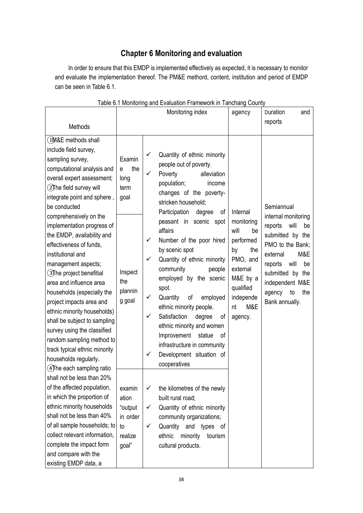## <span id="page-40-4"></span><span id="page-40-3"></span>**Chapter 6 Monitoring and evaluation**

<span id="page-40-0"></span>In order to ensure that this EMDP is implemented effectively as expected, it is necessary to monitor and evaluate the implementation thereof. The PM&E methord, content, institution and period of EMDP can be seen in Table 6.1.

<span id="page-40-1"></span>

|                                                                                                                                                                                                                                                                                                                                                                                                                                                                                                                                                                                                                                                                                                        | rable 0.1 Monitonity and Evaluation Framework in Tanchang Count<br>Monitoring index |                                            | agency                                                                                                                                                                                                                                                                                                                                                                                                                                                                                                                                                                                  | Duration<br>and<br>reports                                                                                                                           |                                                                                                                                                                                                                                |
|--------------------------------------------------------------------------------------------------------------------------------------------------------------------------------------------------------------------------------------------------------------------------------------------------------------------------------------------------------------------------------------------------------------------------------------------------------------------------------------------------------------------------------------------------------------------------------------------------------------------------------------------------------------------------------------------------------|-------------------------------------------------------------------------------------|--------------------------------------------|-----------------------------------------------------------------------------------------------------------------------------------------------------------------------------------------------------------------------------------------------------------------------------------------------------------------------------------------------------------------------------------------------------------------------------------------------------------------------------------------------------------------------------------------------------------------------------------------|------------------------------------------------------------------------------------------------------------------------------------------------------|--------------------------------------------------------------------------------------------------------------------------------------------------------------------------------------------------------------------------------|
| Methods                                                                                                                                                                                                                                                                                                                                                                                                                                                                                                                                                                                                                                                                                                |                                                                                     |                                            |                                                                                                                                                                                                                                                                                                                                                                                                                                                                                                                                                                                         |                                                                                                                                                      |                                                                                                                                                                                                                                |
| (1M&E methods shall<br>include field survey,<br>sampling survey,<br>computational analysis and<br>overall expert assessment;<br>(2) The field survey will<br>integrate point and sphere,<br>be conducted<br>comprehensively on the<br>implementation progress of<br>the EMDP, availability and<br>effectiveness of funds.<br>institutional and<br>management aspects;<br>3The project benefitial<br>area and influence area<br>households (especially the<br>project impacts area and<br>ethnic minority households)<br>shall be subject to sampling<br>survey using the classified<br>random sampling method to<br>track typical ethnic minority<br>households regularly.<br>4The each sampling ratio | Examin<br>the<br>e<br>long<br>term<br>goal<br>Inspect<br>the<br>plannin<br>g goal   | ✓<br>✓<br>$\checkmark$<br>✓<br>✓<br>✓<br>✓ | Quantity of ethnic minority<br>people out of poverty.<br>Poverty<br>alleviation<br>population;<br>income<br>changes of the poverty-<br>stricken household;<br>Participation<br>degree<br>of<br>peasant in scenic spot<br>affairs<br>Number of the poor hired<br>by scenic spot<br>Quantity of ethnic minority<br>community<br>people<br>employed by the scenic<br>spot.<br>Quantity<br>of<br>employed<br>ethnic minority people.<br>Satisfaction<br>degree<br>οf<br>ethnic minority and women<br>Improvement<br>statue<br>οf<br>infrastructure in community<br>Development situation of | Internal<br>monitoring<br>will<br>be<br>performed<br>by<br>the<br>PMO, and<br>external<br>M&E by a<br>qualified<br>independe<br>M&E<br>nt<br>agency. | Semiannual<br>internal monitoring<br>reports<br>will<br>be<br>submitted by the<br>PMO to the Bank;<br>M&E<br>external<br>reports<br>will<br>be<br>submitted by the<br>independent M&E<br>agency<br>to<br>the<br>Bank annually. |
| shall not be less than 20%<br>of the affected population,<br>in which the proportion of<br>ethnic minority households<br>shall not be less than 40%<br>of all sample households; to<br>collect relevant information,<br>complete the impact form<br>and compare with the<br>existing EMDP data, a                                                                                                                                                                                                                                                                                                                                                                                                      | examin<br>ation<br>"output<br>in order<br>to<br>realize<br>goal"                    | ✓<br>✓<br>✓                                | the kilometres of the newly<br>built rural road;<br>Quantity of ethnic minority<br>community organizations;<br>Quantity and types<br>of<br>ethnic<br>minority<br>tourism<br>cultural products.                                                                                                                                                                                                                                                                                                                                                                                          |                                                                                                                                                      |                                                                                                                                                                                                                                |

#### <span id="page-40-22"></span><span id="page-40-21"></span><span id="page-40-20"></span><span id="page-40-19"></span><span id="page-40-18"></span><span id="page-40-17"></span><span id="page-40-16"></span><span id="page-40-15"></span><span id="page-40-14"></span><span id="page-40-13"></span><span id="page-40-12"></span><span id="page-40-11"></span><span id="page-40-10"></span><span id="page-40-9"></span><span id="page-40-8"></span><span id="page-40-7"></span><span id="page-40-6"></span><span id="page-40-5"></span><span id="page-40-2"></span>Table 6.1 Monitoring and Evaluation Framework in Tanchang County